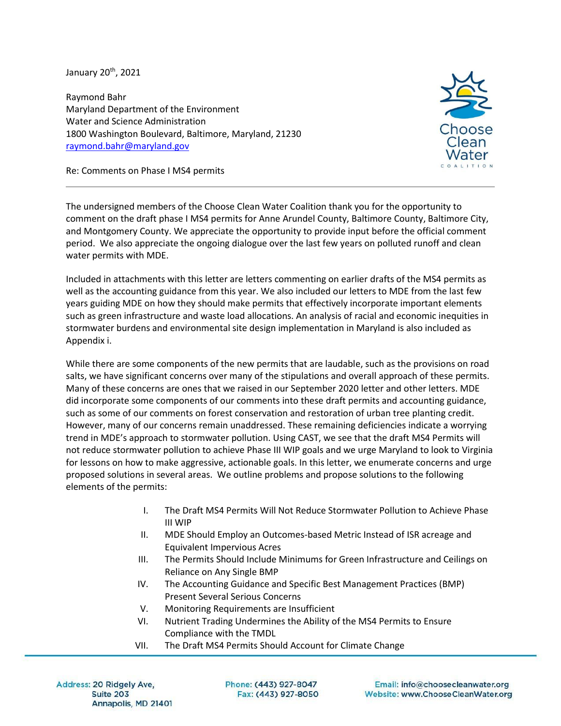January 20<sup>th</sup>, 2021

Raymond Bahr Maryland Department of the Environment Water and Science Administration 1800 Washington Boulevard, Baltimore, Maryland, 21230 raymond.bahr@maryland.gov



Re: Comments on Phase I MS4 permits

The undersigned members of the Choose Clean Water Coalition thank you for the opportunity to comment on the draft phase I MS4 permits for Anne Arundel County, Baltimore County, Baltimore City, and Montgomery County. We appreciate the opportunity to provide input before the official comment period. We also appreciate the ongoing dialogue over the last few years on polluted runoff and clean water permits with MDE.

Included in attachments with this letter are letters commenting on earlier drafts of the MS4 permits as well as the accounting guidance from this year. We also included our letters to MDE from the last few years guiding MDE on how they should make permits that effectively incorporate important elements such as green infrastructure and waste load allocations. An analysis of racial and economic inequities in stormwater burdens and environmental site design implementation in Maryland is also included as Appendix i.

While there are some components of the new permits that are laudable, such as the provisions on road salts, we have significant concerns over many of the stipulations and overall approach of these permits. Many of these concerns are ones that we raised in our September 2020 letter and other letters. MDE did incorporate some components of our comments into these draft permits and accounting guidance, such as some of our comments on forest conservation and restoration of urban tree planting credit. However, many of our concerns remain unaddressed. These remaining deficiencies indicate a worrying trend in MDE's approach to stormwater pollution. Using CAST, we see that the draft MS4 Permits will not reduce stormwater pollution to achieve Phase III WIP goals and we urge Maryland to look to Virginia for lessons on how to make aggressive, actionable goals. In this letter, we enumerate concerns and urge proposed solutions in several areas. We outline problems and propose solutions to the following elements of the permits:

- I. The Draft MS4 Permits Will Not Reduce Stormwater Pollution to Achieve Phase III WIP
- II. MDE Should Employ an Outcomes-based Metric Instead of ISR acreage and Equivalent Impervious Acres
- III. The Permits Should Include Minimums for Green Infrastructure and Ceilings on Reliance on Any Single BMP
- IV. The Accounting Guidance and Specific Best Management Practices (BMP) Present Several Serious Concerns
- V. Monitoring Requirements are Insufficient
- VI. Nutrient Trading Undermines the Ability of the MS4 Permits to Ensure Compliance with the TMDL
- VII. The Draft MS4 Permits Should Account for Climate Change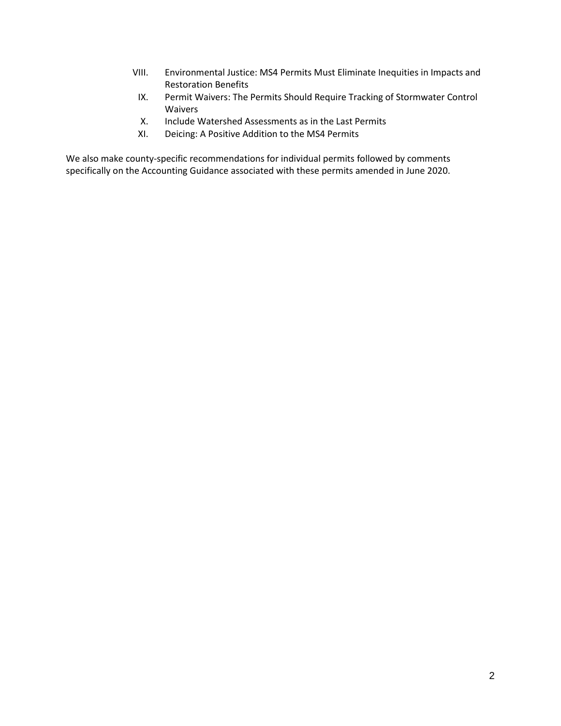- VIII. Environmental Justice: MS4 Permits Must Eliminate Inequities in Impacts and Restoration Benefits
- IX. Permit Waivers: The Permits Should Require Tracking of Stormwater Control Waivers
- X. Include Watershed Assessments as in the Last Permits
- XI. Deicing: A Positive Addition to the MS4 Permits

We also make county-specific recommendations for individual permits followed by comments specifically on the Accounting Guidance associated with these permits amended in June 2020.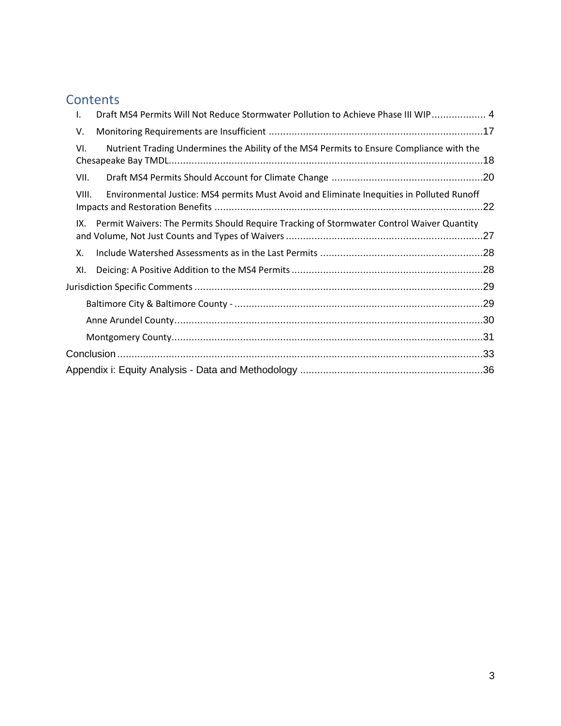## **Contents**

| Draft MS4 Permits Will Not Reduce Stormwater Pollution to Achieve Phase III WIP 4<br>I.            |  |
|----------------------------------------------------------------------------------------------------|--|
| V.                                                                                                 |  |
| Nutrient Trading Undermines the Ability of the MS4 Permits to Ensure Compliance with the<br>VI.    |  |
| VII.                                                                                               |  |
| Environmental Justice: MS4 permits Must Avoid and Eliminate Inequities in Polluted Runoff<br>VIII. |  |
| Permit Waivers: The Permits Should Require Tracking of Stormwater Control Waiver Quantity<br>IX.   |  |
| Χ.                                                                                                 |  |
| XI.                                                                                                |  |
|                                                                                                    |  |
|                                                                                                    |  |
|                                                                                                    |  |
|                                                                                                    |  |
|                                                                                                    |  |
|                                                                                                    |  |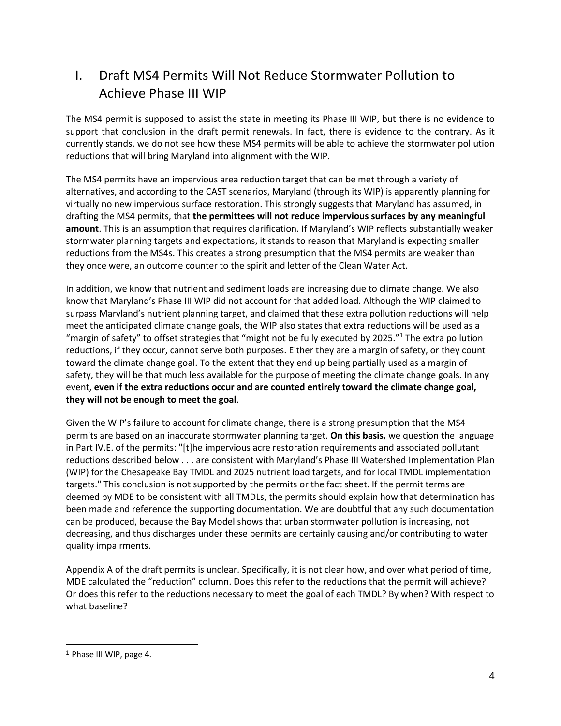## <span id="page-3-0"></span>I. Draft MS4 Permits Will Not Reduce Stormwater Pollution to Achieve Phase III WIP

The MS4 permit is supposed to assist the state in meeting its Phase III WIP, but there is no evidence to support that conclusion in the draft permit renewals. In fact, there is evidence to the contrary. As it currently stands, we do not see how these MS4 permits will be able to achieve the stormwater pollution reductions that will bring Maryland into alignment with the WIP.

The MS4 permits have an impervious area reduction target that can be met through a variety of alternatives, and according to the CAST scenarios, Maryland (through its WIP) is apparently planning for virtually no new impervious surface restoration. This strongly suggests that Maryland has assumed, in drafting the MS4 permits, that **the permittees will not reduce impervious surfaces by any meaningful amount**. This is an assumption that requires clarification. If Maryland's WIP reflects substantially weaker stormwater planning targets and expectations, it stands to reason that Maryland is expecting smaller reductions from the MS4s. This creates a strong presumption that the MS4 permits are weaker than they once were, an outcome counter to the spirit and letter of the Clean Water Act.

In addition, we know that nutrient and sediment loads are increasing due to climate change. We also know that Maryland's Phase III WIP did not account for that added load. Although the WIP claimed to surpass Maryland's nutrient planning target, and claimed that these extra pollution reductions will help meet the anticipated climate change goals, the WIP also states that extra reductions will be used as a "margin of safety" to offset strategies that "might not be fully executed by 2025."<sup>1</sup> The extra pollution reductions, if they occur, cannot serve both purposes. Either they are a margin of safety, or they count toward the climate change goal. To the extent that they end up being partially used as a margin of safety, they will be that much less available for the purpose of meeting the climate change goals. In any event, **even if the extra reductions occur and are counted entirely toward the climate change goal, they will not be enough to meet the goal**.

Given the WIP's failure to account for climate change, there is a strong presumption that the MS4 permits are based on an inaccurate stormwater planning target. **On this basis,** we question the language in Part IV.E. of the permits: "[t]he impervious acre restoration requirements and associated pollutant reductions described below . . . are consistent with Maryland's Phase III Watershed Implementation Plan (WIP) for the Chesapeake Bay TMDL and 2025 nutrient load targets, and for local TMDL implementation targets." This conclusion is not supported by the permits or the fact sheet. If the permit terms are deemed by MDE to be consistent with all TMDLs, the permits should explain how that determination has been made and reference the supporting documentation. We are doubtful that any such documentation can be produced, because the Bay Model shows that urban stormwater pollution is increasing, not decreasing, and thus discharges under these permits are certainly causing and/or contributing to water quality impairments.

Appendix A of the draft permits is unclear. Specifically, it is not clear how, and over what period of time, MDE calculated the "reduction" column. Does this refer to the reductions that the permit will achieve? Or does this refer to the reductions necessary to meet the goal of each TMDL? By when? With respect to what baseline?

<sup>1</sup> Phase III WIP, page 4.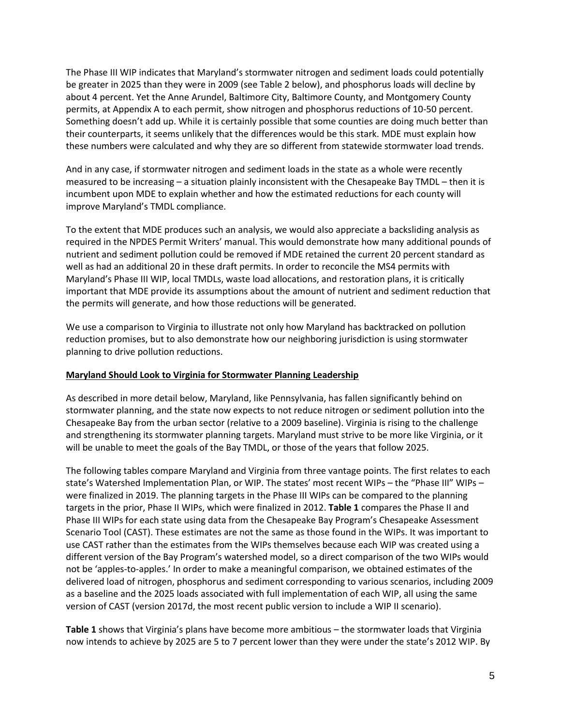The Phase III WIP indicates that Maryland's stormwater nitrogen and sediment loads could potentially be greater in 2025 than they were in 2009 (see Table 2 below), and phosphorus loads will decline by about 4 percent. Yet the Anne Arundel, Baltimore City, Baltimore County, and Montgomery County permits, at Appendix A to each permit, show nitrogen and phosphorus reductions of 10-50 percent. Something doesn't add up. While it is certainly possible that some counties are doing much better than their counterparts, it seems unlikely that the differences would be this stark. MDE must explain how these numbers were calculated and why they are so different from statewide stormwater load trends.

And in any case, if stormwater nitrogen and sediment loads in the state as a whole were recently measured to be increasing – a situation plainly inconsistent with the Chesapeake Bay TMDL – then it is incumbent upon MDE to explain whether and how the estimated reductions for each county will improve Maryland's TMDL compliance.

To the extent that MDE produces such an analysis, we would also appreciate a backsliding analysis as required in the NPDES Permit Writers' manual. This would demonstrate how many additional pounds of nutrient and sediment pollution could be removed if MDE retained the current 20 percent standard as well as had an additional 20 in these draft permits. In order to reconcile the MS4 permits with Maryland's Phase III WIP, local TMDLs, waste load allocations, and restoration plans, it is critically important that MDE provide its assumptions about the amount of nutrient and sediment reduction that the permits will generate, and how those reductions will be generated.

We use a comparison to Virginia to illustrate not only how Maryland has backtracked on pollution reduction promises, but to also demonstrate how our neighboring jurisdiction is using stormwater planning to drive pollution reductions.

#### **Maryland Should Look to Virginia for Stormwater Planning Leadership**

As described in more detail below, Maryland, like Pennsylvania, has fallen significantly behind on stormwater planning, and the state now expects to not reduce nitrogen or sediment pollution into the Chesapeake Bay from the urban sector (relative to a 2009 baseline). Virginia is rising to the challenge and strengthening its stormwater planning targets. Maryland must strive to be more like Virginia, or it will be unable to meet the goals of the Bay TMDL, or those of the years that follow 2025.

The following tables compare Maryland and Virginia from three vantage points. The first relates to each state's Watershed Implementation Plan, or WIP. The states' most recent WIPs – the "Phase III" WIPs – were finalized in 2019. The planning targets in the Phase III WIPs can be compared to the planning targets in the prior, Phase II WIPs, which were finalized in 2012. **Table 1** compares the Phase II and Phase III WIPs for each state using data from the Chesapeake Bay Program's Chesapeake Assessment Scenario Tool (CAST). These estimates are not the same as those found in the WIPs. It was important to use CAST rather than the estimates from the WIPs themselves because each WIP was created using a different version of the Bay Program's watershed model, so a direct comparison of the two WIPs would not be 'apples-to-apples.' In order to make a meaningful comparison, we obtained estimates of the delivered load of nitrogen, phosphorus and sediment corresponding to various scenarios, including 2009 as a baseline and the 2025 loads associated with full implementation of each WIP, all using the same version of CAST (version 2017d, the most recent public version to include a WIP II scenario).

**Table 1** shows that Virginia's plans have become more ambitious – the stormwater loads that Virginia now intends to achieve by 2025 are 5 to 7 percent lower than they were under the state's 2012 WIP. By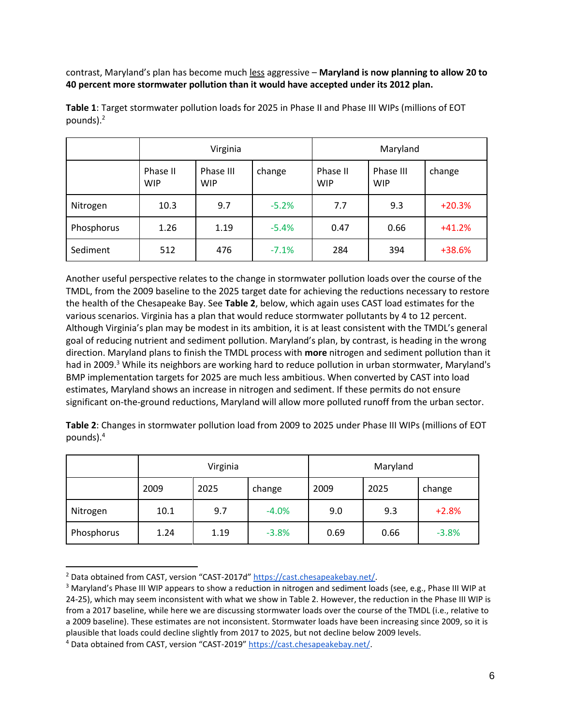contrast, Maryland's plan has become much less aggressive – **Maryland is now planning to allow 20 to 40 percent more stormwater pollution than it would have accepted under its 2012 plan.**

|            | Virginia               |                         |         | Maryland               |                         |          |
|------------|------------------------|-------------------------|---------|------------------------|-------------------------|----------|
|            | Phase II<br><b>WIP</b> | Phase III<br><b>WIP</b> | change  | Phase II<br><b>WIP</b> | Phase III<br><b>WIP</b> | change   |
| Nitrogen   | 10.3                   | 9.7                     | $-5.2%$ | 7.7                    | 9.3                     | $+20.3%$ |
| Phosphorus | 1.26                   | 1.19                    | $-5.4%$ | 0.47                   | 0.66                    | $+41.2%$ |
| Sediment   | 512                    | 476                     | $-7.1%$ | 284                    | 394                     | +38.6%   |

**Table 1**: Target stormwater pollution loads for 2025 in Phase II and Phase III WIPs (millions of EOT pounds).<sup>2</sup>

Another useful perspective relates to the change in stormwater pollution loads over the course of the TMDL, from the 2009 baseline to the 2025 target date for achieving the reductions necessary to restore the health of the Chesapeake Bay. See **Table 2**, below, which again uses CAST load estimates for the various scenarios. Virginia has a plan that would reduce stormwater pollutants by 4 to 12 percent. Although Virginia's plan may be modest in its ambition, it is at least consistent with the TMDL's general goal of reducing nutrient and sediment pollution. Maryland's plan, by contrast, is heading in the wrong direction. Maryland plans to finish the TMDL process with **more** nitrogen and sediment pollution than it had in 2009.<sup>3</sup> While its neighbors are working hard to reduce pollution in urban stormwater, Maryland's BMP implementation targets for 2025 are much less ambitious. When converted by CAST into load estimates, Maryland shows an increase in nitrogen and sediment. If these permits do not ensure significant on-the-ground reductions, Maryland will allow more polluted runoff from the urban sector.

**Table 2**: Changes in stormwater pollution load from 2009 to 2025 under Phase III WIPs (millions of EOT pounds).<sup>4</sup>

|            | Virginia |      | Maryland |      |      |         |
|------------|----------|------|----------|------|------|---------|
|            | 2009     | 2025 | change   | 2009 | 2025 | change  |
| Nitrogen   | 10.1     | 9.7  | $-4.0%$  | 9.0  | 9.3  | $+2.8%$ |
| Phosphorus | 1.24     | 1.19 | $-3.8%$  | 0.69 | 0.66 | $-3.8%$ |

<sup>&</sup>lt;sup>2</sup> Data obtained from CAST, version "CAST-2017d" https://cast.chesapeakebay.net/.

<sup>&</sup>lt;sup>3</sup> Maryland's Phase III WIP appears to show a reduction in nitrogen and sediment loads (see, e.g., Phase III WIP at 24-25), which may seem inconsistent with what we show in Table 2. However, the reduction in the Phase III WIP is from a 2017 baseline, while here we are discussing stormwater loads over the course of the TMDL (i.e., relative to a 2009 baseline). These estimates are not inconsistent. Stormwater loads have been increasing since 2009, so it is plausible that loads could decline slightly from 2017 to 2025, but not decline below 2009 levels.

<sup>&</sup>lt;sup>4</sup> Data obtained from CAST, version "CAST-2019" https://cast.chesapeakebay.net/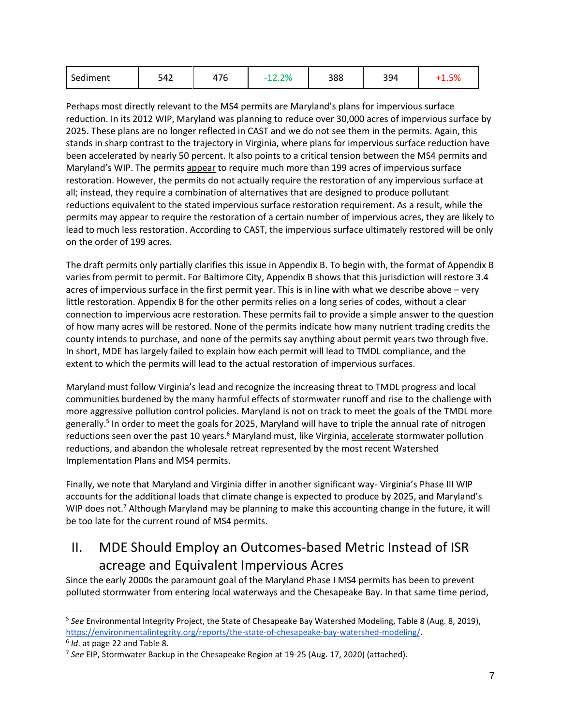| Sediment | 542 | 176 | 12.2% | 388 | 394 |  |
|----------|-----|-----|-------|-----|-----|--|
|----------|-----|-----|-------|-----|-----|--|

Perhaps most directly relevant to the MS4 permits are Maryland's plans for impervious surface reduction. In its 2012 WIP, Maryland was planning to reduce over 30,000 acres of impervious surface by 2025. These plans are no longer reflected in CAST and we do not see them in the permits. Again, this stands in sharp contrast to the trajectory in Virginia, where plans for impervious surface reduction have been accelerated by nearly 50 percent. It also points to a critical tension between the MS4 permits and Maryland's WIP. The permits appear to require much more than 199 acres of impervious surface restoration. However, the permits do not actually require the restoration of any impervious surface at all; instead, they require a combination of alternatives that are designed to produce pollutant reductions equivalent to the stated impervious surface restoration requirement. As a result, while the permits may appear to require the restoration of a certain number of impervious acres, they are likely to lead to much less restoration. According to CAST, the impervious surface ultimately restored will be only on the order of 199 acres.

The draft permits only partially clarifies this issue in Appendix B. To begin with, the format of Appendix B varies from permit to permit. For Baltimore City, Appendix B shows that this jurisdiction will restore 3.4 acres of impervious surface in the first permit year. This is in line with what we describe above – very little restoration. Appendix B for the other permits relies on a long series of codes, without a clear connection to impervious acre restoration. These permits fail to provide a simple answer to the question of how many acres will be restored. None of the permits indicate how many nutrient trading credits the county intends to purchase, and none of the permits say anything about permit years two through five. In short, MDE has largely failed to explain how each permit will lead to TMDL compliance, and the extent to which the permits will lead to the actual restoration of impervious surfaces.

Maryland must follow Virginia's lead and recognize the increasing threat to TMDL progress and local communities burdened by the many harmful effects of stormwater runoff and rise to the challenge with more aggressive pollution control policies. Maryland is not on track to meet the goals of the TMDL more generally.<sup>5</sup> In order to meet the goals for 2025, Maryland will have to triple the annual rate of nitrogen reductions seen over the past 10 years.<sup>6</sup> Maryland must, like Virginia, accelerate stormwater pollution reductions, and abandon the wholesale retreat represented by the most recent Watershed Implementation Plans and MS4 permits.

Finally, we note that Maryland and Virginia differ in another significant way- Virginia's Phase III WIP accounts for the additional loads that climate change is expected to produce by 2025, and Maryland's WIP does not.<sup>7</sup> Although Maryland may be planning to make this accounting change in the future, it will be too late for the current round of MS4 permits.

## II. MDE Should Employ an Outcomes-based Metric Instead of ISR acreage and Equivalent Impervious Acres

Since the early 2000s the paramount goal of the Maryland Phase I MS4 permits has been to prevent polluted stormwater from entering local waterways and the Chesapeake Bay. In that same time period,

<sup>5</sup> *See* Environmental Integrity Project, the State of Chesapeake Bay Watershed Modeling, Table 8 (Aug. 8, 2019), https://environmentalintegrity.org/reports/the-state-of-chesapeake-bay-watershed-modeling/.

<sup>6</sup> *Id*. at page 22 and Table 8.

<sup>7</sup> *See* EIP, Stormwater Backup in the Chesapeake Region at 19-25 (Aug. 17, 2020) (attached).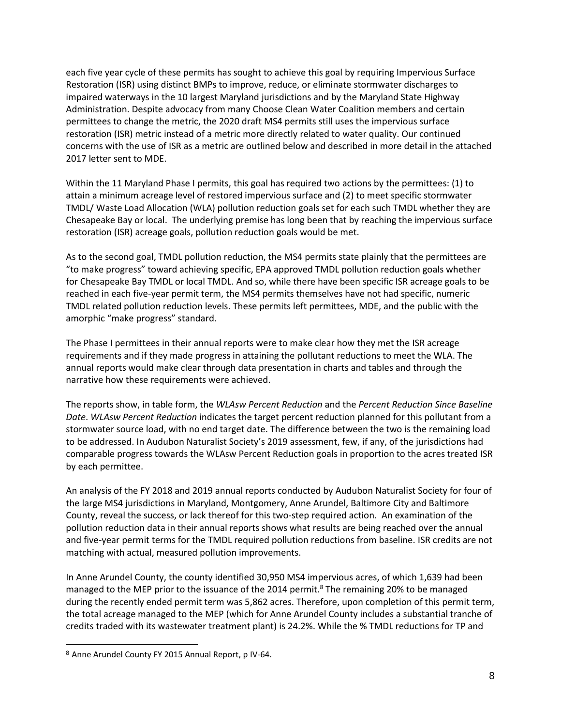each five year cycle of these permits has sought to achieve this goal by requiring Impervious Surface Restoration (ISR) using distinct BMPs to improve, reduce, or eliminate stormwater discharges to impaired waterways in the 10 largest Maryland jurisdictions and by the Maryland State Highway Administration. Despite advocacy from many Choose Clean Water Coalition members and certain permittees to change the metric, the 2020 draft MS4 permits still uses the impervious surface restoration (ISR) metric instead of a metric more directly related to water quality. Our continued concerns with the use of ISR as a metric are outlined below and described in more detail in the attached 2017 letter sent to MDE.

Within the 11 Maryland Phase I permits, this goal has required two actions by the permittees: (1) to attain a minimum acreage level of restored impervious surface and (2) to meet specific stormwater TMDL/ Waste Load Allocation (WLA) pollution reduction goals set for each such TMDL whether they are Chesapeake Bay or local. The underlying premise has long been that by reaching the impervious surface restoration (ISR) acreage goals, pollution reduction goals would be met.

As to the second goal, TMDL pollution reduction, the MS4 permits state plainly that the permittees are "to make progress" toward achieving specific, EPA approved TMDL pollution reduction goals whether for Chesapeake Bay TMDL or local TMDL. And so, while there have been specific ISR acreage goals to be reached in each five-year permit term, the MS4 permits themselves have not had specific, numeric TMDL related pollution reduction levels. These permits left permittees, MDE, and the public with the amorphic "make progress" standard.

The Phase I permittees in their annual reports were to make clear how they met the ISR acreage requirements and if they made progress in attaining the pollutant reductions to meet the WLA. The annual reports would make clear through data presentation in charts and tables and through the narrative how these requirements were achieved.

The reports show, in table form, the *WLAsw Percent Reduction* and the *Percent Reduction Since Baseline Date*. *WLAsw Percent Reduction* indicates the target percent reduction planned for this pollutant from a stormwater source load, with no end target date. The difference between the two is the remaining load to be addressed. In Audubon Naturalist Society's 2019 assessment, few, if any, of the jurisdictions had comparable progress towards the WLAsw Percent Reduction goals in proportion to the acres treated ISR by each permittee.

An analysis of the FY 2018 and 2019 annual reports conducted by Audubon Naturalist Society for four of the large MS4 jurisdictions in Maryland, Montgomery, Anne Arundel, Baltimore City and Baltimore County, reveal the success, or lack thereof for this two-step required action. An examination of the pollution reduction data in their annual reports shows what results are being reached over the annual and five-year permit terms for the TMDL required pollution reductions from baseline. ISR credits are not matching with actual, measured pollution improvements.

In Anne Arundel County, the county identified 30,950 MS4 impervious acres, of which 1,639 had been managed to the MEP prior to the issuance of the 2014 permit. <sup>8</sup> The remaining 20% to be managed during the recently ended permit term was 5,862 acres. Therefore, upon completion of this permit term, the total acreage managed to the MEP (which for Anne Arundel County includes a substantial tranche of credits traded with its wastewater treatment plant) is 24.2%. While the % TMDL reductions for TP and

<sup>8</sup> Anne Arundel County FY 2015 Annual Report, p IV-64.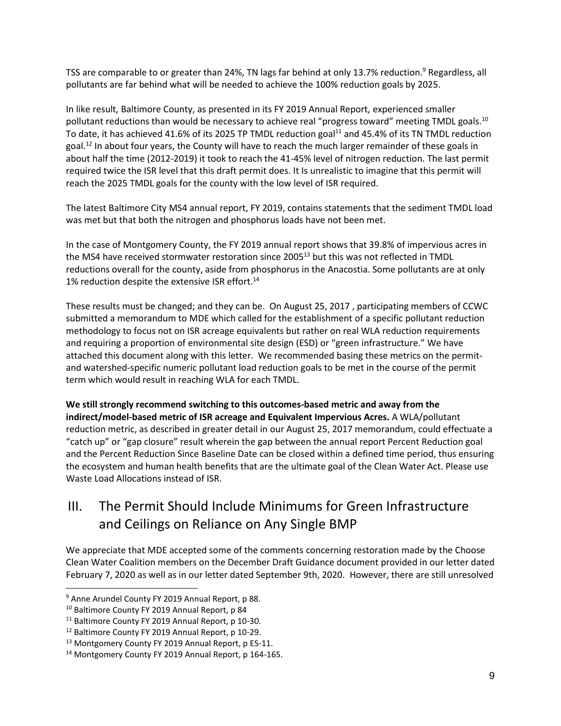TSS are comparable to or greater than 24%, TN lags far behind at only 13.7% reduction.<sup>9</sup> Regardless, all pollutants are far behind what will be needed to achieve the 100% reduction goals by 2025.

In like result, Baltimore County, as presented in its FY 2019 Annual Report, experienced smaller pollutant reductions than would be necessary to achieve real "progress toward" meeting TMDL goals.<sup>10</sup> To date, it has achieved 41.6% of its 2025 TP TMDL reduction goal<sup>11</sup> and 45.4% of its TN TMDL reduction goal.<sup>12</sup> In about four years, the County will have to reach the much larger remainder of these goals in about half the time (2012-2019) it took to reach the 41-45% level of nitrogen reduction. The last permit required twice the ISR level that this draft permit does. It Is unrealistic to imagine that this permit will reach the 2025 TMDL goals for the county with the low level of ISR required.

The latest Baltimore City MS4 annual report, FY 2019, contains statements that the sediment TMDL load was met but that both the nitrogen and phosphorus loads have not been met.

In the case of Montgomery County, the FY 2019 annual report shows that 39.8% of impervious acres in the MS4 have received stormwater restoration since 2005<sup>13</sup> but this was not reflected in TMDL reductions overall for the county, aside from phosphorus in the Anacostia. Some pollutants are at only 1% reduction despite the extensive ISR effort.<sup>14</sup>

These results must be changed; and they can be. On August 25, 2017 , participating members of CCWC submitted a memorandum to MDE which called for the establishment of a specific pollutant reduction methodology to focus not on ISR acreage equivalents but rather on real WLA reduction requirements and requiring a proportion of environmental site design (ESD) or "green infrastructure." We have attached this document along with this letter. We recommended basing these metrics on the permitand watershed-specific numeric pollutant load reduction goals to be met in the course of the permit term which would result in reaching WLA for each TMDL.

**We still strongly recommend switching to this outcomes-based metric and away from the indirect/model-based metric of ISR acreage and Equivalent Impervious Acres.** A WLA/pollutant reduction metric, as described in greater detail in our August 25, 2017 memorandum, could effectuate a "catch up" or "gap closure" result wherein the gap between the annual report Percent Reduction goal and the Percent Reduction Since Baseline Date can be closed within a defined time period, thus ensuring the ecosystem and human health benefits that are the ultimate goal of the Clean Water Act. Please use Waste Load Allocations instead of ISR.

## III. The Permit Should Include Minimums for Green Infrastructure and Ceilings on Reliance on Any Single BMP

We appreciate that MDE accepted some of the comments concerning restoration made by the Choose Clean Water Coalition members on the December Draft Guidance document provided in our letter dated February 7, 2020 as well as in our letter dated September 9th, 2020. However, there are still unresolved

<sup>&</sup>lt;sup>9</sup> Anne Arundel County FY 2019 Annual Report, p 88.

<sup>10</sup> Baltimore County FY 2019 Annual Report, p 84

<sup>&</sup>lt;sup>11</sup> Baltimore County FY 2019 Annual Report, p 10-30.

<sup>12</sup> Baltimore County FY 2019 Annual Report, p 10-29.

<sup>&</sup>lt;sup>13</sup> Montgomery County FY 2019 Annual Report, p ES-11.

<sup>14</sup> Montgomery County FY 2019 Annual Report, p 164-165.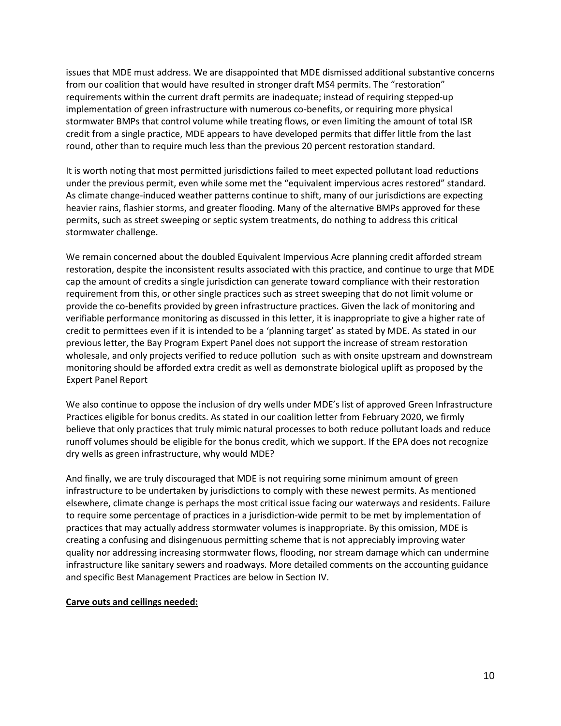issues that MDE must address. We are disappointed that MDE dismissed additional substantive concerns from our coalition that would have resulted in stronger draft MS4 permits. The "restoration" requirements within the current draft permits are inadequate; instead of requiring stepped-up implementation of green infrastructure with numerous co-benefits, or requiring more physical stormwater BMPs that control volume while treating flows, or even limiting the amount of total ISR credit from a single practice, MDE appears to have developed permits that differ little from the last round, other than to require much less than the previous 20 percent restoration standard.

It is worth noting that most permitted jurisdictions failed to meet expected pollutant load reductions under the previous permit, even while some met the "equivalent impervious acres restored" standard. As climate change-induced weather patterns continue to shift, many of our jurisdictions are expecting heavier rains, flashier storms, and greater flooding. Many of the alternative BMPs approved for these permits, such as street sweeping or septic system treatments, do nothing to address this critical stormwater challenge.

We remain concerned about the doubled Equivalent Impervious Acre planning credit afforded stream restoration, despite the inconsistent results associated with this practice, and continue to urge that MDE cap the amount of credits a single jurisdiction can generate toward compliance with their restoration requirement from this, or other single practices such as street sweeping that do not limit volume or provide the co-benefits provided by green infrastructure practices. Given the lack of monitoring and verifiable performance monitoring as discussed in this letter, it is inappropriate to give a higher rate of credit to permittees even if it is intended to be a 'planning target' as stated by MDE. As stated in our previous letter, the Bay Program Expert Panel does not support the increase of stream restoration wholesale, and only projects verified to reduce pollution such as with onsite upstream and downstream monitoring should be afforded extra credit as well as demonstrate biological uplift as proposed by the Expert Panel Report

We also continue to oppose the inclusion of dry wells under MDE's list of approved Green Infrastructure Practices eligible for bonus credits. As stated in our coalition letter from February 2020, we firmly believe that only practices that truly mimic natural processes to both reduce pollutant loads and reduce runoff volumes should be eligible for the bonus credit, which we support. If the EPA does not recognize dry wells as green infrastructure, why would MDE?

And finally, we are truly discouraged that MDE is not requiring some minimum amount of green infrastructure to be undertaken by jurisdictions to comply with these newest permits. As mentioned elsewhere, climate change is perhaps the most critical issue facing our waterways and residents. Failure to require some percentage of practices in a jurisdiction-wide permit to be met by implementation of practices that may actually address stormwater volumes is inappropriate. By this omission, MDE is creating a confusing and disingenuous permitting scheme that is not appreciably improving water quality nor addressing increasing stormwater flows, flooding, nor stream damage which can undermine infrastructure like sanitary sewers and roadways. More detailed comments on the accounting guidance and specific Best Management Practices are below in Section IV.

#### **Carve outs and ceilings needed:**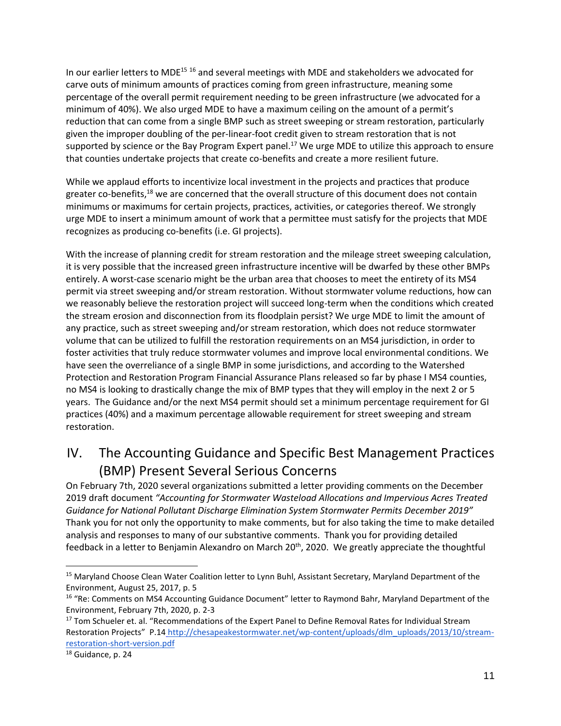In our earlier letters to MDE<sup>15 16</sup> and several meetings with MDE and stakeholders we advocated for carve outs of minimum amounts of practices coming from green infrastructure, meaning some percentage of the overall permit requirement needing to be green infrastructure (we advocated for a minimum of 40%). We also urged MDE to have a maximum ceiling on the amount of a permit's reduction that can come from a single BMP such as street sweeping or stream restoration, particularly given the improper doubling of the per-linear-foot credit given to stream restoration that is not supported by science or the Bay Program Expert panel.<sup>17</sup> We urge MDE to utilize this approach to ensure that counties undertake projects that create co-benefits and create a more resilient future.

While we applaud efforts to incentivize local investment in the projects and practices that produce greater co-benefits,<sup>18</sup> we are concerned that the overall structure of this document does not contain minimums or maximums for certain projects, practices, activities, or categories thereof. We strongly urge MDE to insert a minimum amount of work that a permittee must satisfy for the projects that MDE recognizes as producing co-benefits (i.e. GI projects).

With the increase of planning credit for stream restoration and the mileage street sweeping calculation, it is very possible that the increased green infrastructure incentive will be dwarfed by these other BMPs entirely. A worst-case scenario might be the urban area that chooses to meet the entirety of its MS4 permit via street sweeping and/or stream restoration. Without stormwater volume reductions, how can we reasonably believe the restoration project will succeed long-term when the conditions which created the stream erosion and disconnection from its floodplain persist? We urge MDE to limit the amount of any practice, such as street sweeping and/or stream restoration, which does not reduce stormwater volume that can be utilized to fulfill the restoration requirements on an MS4 jurisdiction, in order to foster activities that truly reduce stormwater volumes and improve local environmental conditions. We have seen the overreliance of a single BMP in some jurisdictions, and according to the Watershed Protection and Restoration Program Financial Assurance Plans released so far by phase I MS4 counties, no MS4 is looking to drastically change the mix of BMP types that they will employ in the next 2 or 5 years. The Guidance and/or the next MS4 permit should set a minimum percentage requirement for GI practices (40%) and a maximum percentage allowable requirement for street sweeping and stream restoration.

## IV. The Accounting Guidance and Specific Best Management Practices (BMP) Present Several Serious Concerns

On February 7th, 2020 several organizations submitted a letter providing comments on the December 2019 draft document *"Accounting for Stormwater Wasteload Allocations and Impervious Acres Treated Guidance for National Pollutant Discharge Elimination System Stormwater Permits December 2019"*  Thank you for not only the opportunity to make comments, but for also taking the time to make detailed analysis and responses to many of our substantive comments. Thank you for providing detailed feedback in a letter to Benjamin Alexandro on March 20<sup>th</sup>, 2020. We greatly appreciate the thoughtful

<sup>&</sup>lt;sup>15</sup> Maryland Choose Clean Water Coalition letter to Lynn Buhl, Assistant Secretary, Maryland Department of the Environment, August 25, 2017, p. 5

<sup>&</sup>lt;sup>16</sup> "Re: Comments on MS4 Accounting Guidance Document" letter to Raymond Bahr, Maryland Department of the Environment, February 7th, 2020, p. 2-3

<sup>&</sup>lt;sup>17</sup> Tom Schueler et. al. "Recommendations of the Expert Panel to Define Removal Rates for Individual Stream Restoration Projects" P.14\_http://chesapeakestormwater.net/wp-content/uploads/dlm\_uploads/2013/10/streamrestoration-short-version.pdf

<sup>&</sup>lt;sup>18</sup> Guidance, p. 24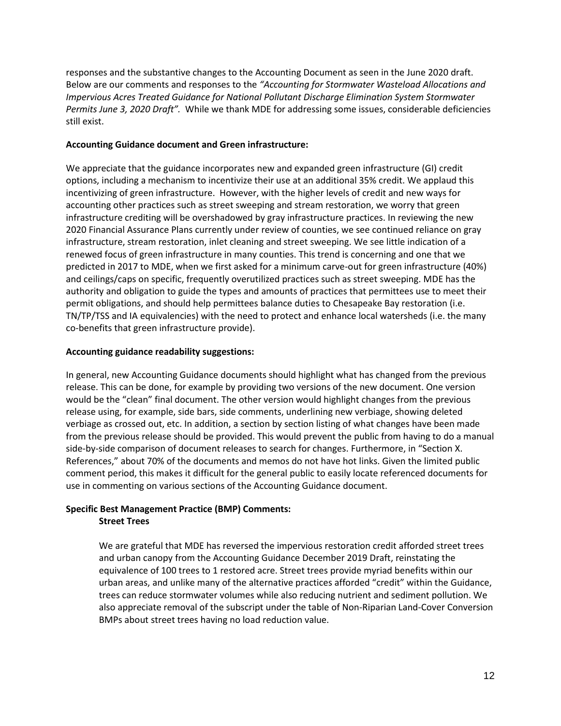responses and the substantive changes to the Accounting Document as seen in the June 2020 draft. Below are our comments and responses to the *"Accounting for Stormwater Wasteload Allocations and Impervious Acres Treated Guidance for National Pollutant Discharge Elimination System Stormwater Permits June 3, 2020 Draft".* While we thank MDE for addressing some issues, considerable deficiencies still exist.

#### **Accounting Guidance document and Green infrastructure:**

We appreciate that the guidance incorporates new and expanded green infrastructure (GI) credit options, including a mechanism to incentivize their use at an additional 35% credit. We applaud this incentivizing of green infrastructure. However, with the higher levels of credit and new ways for accounting other practices such as street sweeping and stream restoration, we worry that green infrastructure crediting will be overshadowed by gray infrastructure practices. In reviewing the new 2020 Financial Assurance Plans currently under review of counties, we see continued reliance on gray infrastructure, stream restoration, inlet cleaning and street sweeping. We see little indication of a renewed focus of green infrastructure in many counties. This trend is concerning and one that we predicted in 2017 to MDE, when we first asked for a minimum carve-out for green infrastructure (40%) and ceilings/caps on specific, frequently overutilized practices such as street sweeping. MDE has the authority and obligation to guide the types and amounts of practices that permittees use to meet their permit obligations, and should help permittees balance duties to Chesapeake Bay restoration (i.e. TN/TP/TSS and IA equivalencies) with the need to protect and enhance local watersheds (i.e. the many co-benefits that green infrastructure provide).

#### **Accounting guidance readability suggestions:**

In general, new Accounting Guidance documents should highlight what has changed from the previous release. This can be done, for example by providing two versions of the new document. One version would be the "clean" final document. The other version would highlight changes from the previous release using, for example, side bars, side comments, underlining new verbiage, showing deleted verbiage as crossed out, etc. In addition, a section by section listing of what changes have been made from the previous release should be provided. This would prevent the public from having to do a manual side-by-side comparison of document releases to search for changes. Furthermore, in "Section X. References," about 70% of the documents and memos do not have hot links. Given the limited public comment period, this makes it difficult for the general public to easily locate referenced documents for use in commenting on various sections of the Accounting Guidance document.

#### **Specific Best Management Practice (BMP) Comments: Street Trees**

We are grateful that MDE has reversed the impervious restoration credit afforded street trees and urban canopy from the Accounting Guidance December 2019 Draft, reinstating the equivalence of 100 trees to 1 restored acre. Street trees provide myriad benefits within our urban areas, and unlike many of the alternative practices afforded "credit" within the Guidance, trees can reduce stormwater volumes while also reducing nutrient and sediment pollution. We also appreciate removal of the subscript under the table of Non-Riparian Land-Cover Conversion BMPs about street trees having no load reduction value.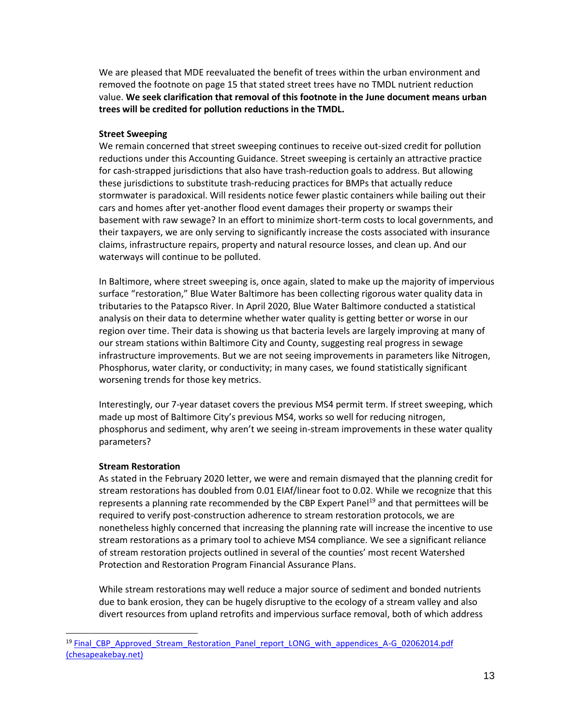We are pleased that MDE reevaluated the benefit of trees within the urban environment and removed the footnote on page 15 that stated street trees have no TMDL nutrient reduction value. **We seek clarification that removal of this footnote in the June document means urban trees will be credited for pollution reductions in the TMDL.**

#### **Street Sweeping**

We remain concerned that street sweeping continues to receive out-sized credit for pollution reductions under this Accounting Guidance. Street sweeping is certainly an attractive practice for cash-strapped jurisdictions that also have trash-reduction goals to address. But allowing these jurisdictions to substitute trash-reducing practices for BMPs that actually reduce stormwater is paradoxical. Will residents notice fewer plastic containers while bailing out their cars and homes after yet-another flood event damages their property or swamps their basement with raw sewage? In an effort to minimize short-term costs to local governments, and their taxpayers, we are only serving to significantly increase the costs associated with insurance claims, infrastructure repairs, property and natural resource losses, and clean up. And our waterways will continue to be polluted.

In Baltimore, where street sweeping is, once again, slated to make up the majority of impervious surface "restoration," Blue Water Baltimore has been collecting rigorous water quality data in tributaries to the Patapsco River. In April 2020, Blue Water Baltimore conducted a statistical analysis on their data to determine whether water quality is getting better or worse in our region over time. Their data is showing us that bacteria levels are largely improving at many of our stream stations within Baltimore City and County, suggesting real progress in sewage infrastructure improvements. But we are not seeing improvements in parameters like Nitrogen, Phosphorus, water clarity, or conductivity; in many cases, we found statistically significant worsening trends for those key metrics.

Interestingly, our 7-year dataset covers the previous MS4 permit term. If street sweeping, which made up most of Baltimore City's previous MS4, works so well for reducing nitrogen, phosphorus and sediment, why aren't we seeing in-stream improvements in these water quality parameters?

#### **Stream Restoration**

As stated in the February 2020 letter, we were and remain dismayed that the planning credit for stream restorations has doubled from 0.01 EIAf/linear foot to 0.02. While we recognize that this represents a planning rate recommended by the CBP Expert Panel<sup>19</sup> and that permittees will be required to verify post-construction adherence to stream restoration protocols, we are nonetheless highly concerned that increasing the planning rate will increase the incentive to use stream restorations as a primary tool to achieve MS4 compliance. We see a significant reliance of stream restoration projects outlined in several of the counties' most recent Watershed Protection and Restoration Program Financial Assurance Plans.

While stream restorations may well reduce a major source of sediment and bonded nutrients due to bank erosion, they can be hugely disruptive to the ecology of a stream valley and also divert resources from upland retrofits and impervious surface removal, both of which address

<sup>&</sup>lt;sup>19</sup> Final\_CBP\_Approved\_Stream\_Restoration\_Panel\_report\_LONG\_with\_appendices\_A-G\_02062014.pdf (chesapeakebay.net)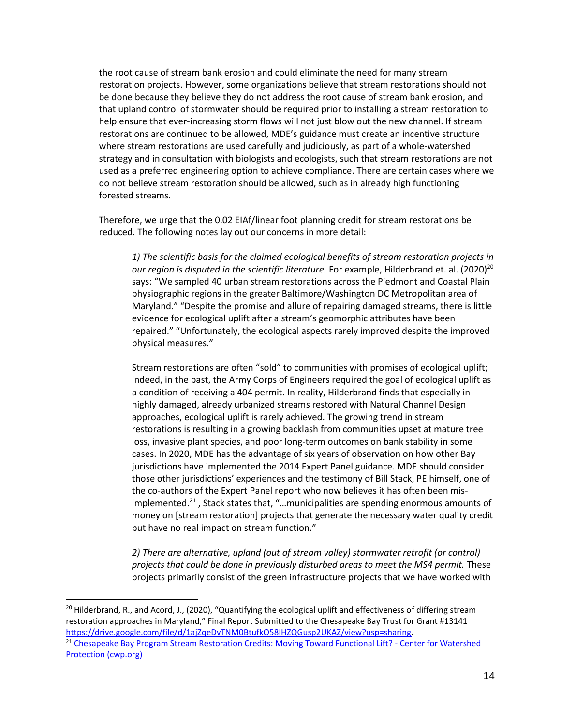the root cause of stream bank erosion and could eliminate the need for many stream restoration projects. However, some organizations believe that stream restorations should not be done because they believe they do not address the root cause of stream bank erosion, and that upland control of stormwater should be required prior to installing a stream restoration to help ensure that ever-increasing storm flows will not just blow out the new channel. If stream restorations are continued to be allowed, MDE's guidance must create an incentive structure where stream restorations are used carefully and judiciously, as part of a whole-watershed strategy and in consultation with biologists and ecologists, such that stream restorations are not used as a preferred engineering option to achieve compliance. There are certain cases where we do not believe stream restoration should be allowed, such as in already high functioning forested streams.

Therefore, we urge that the 0.02 EIAf/linear foot planning credit for stream restorations be reduced. The following notes lay out our concerns in more detail:

*1) The scientific basis for the claimed ecological benefits of stream restoration projects in our region is disputed in the scientific literature.* For example, Hilderbrand et. al. (2020)<sup>20</sup> says: "We sampled 40 urban stream restorations across the Piedmont and Coastal Plain physiographic regions in the greater Baltimore/Washington DC Metropolitan area of Maryland." "Despite the promise and allure of repairing damaged streams, there is little evidence for ecological uplift after a stream's geomorphic attributes have been repaired." "Unfortunately, the ecological aspects rarely improved despite the improved physical measures."

Stream restorations are often "sold" to communities with promises of ecological uplift; indeed, in the past, the Army Corps of Engineers required the goal of ecological uplift as a condition of receiving a 404 permit. In reality, Hilderbrand finds that especially in highly damaged, already urbanized streams restored with Natural Channel Design approaches, ecological uplift is rarely achieved. The growing trend in stream restorations is resulting in a growing backlash from communities upset at mature tree loss, invasive plant species, and poor long-term outcomes on bank stability in some cases. In 2020, MDE has the advantage of six years of observation on how other Bay jurisdictions have implemented the 2014 Expert Panel guidance. MDE should consider those other jurisdictions' experiences and the testimony of Bill Stack, PE himself, one of the co-authors of the Expert Panel report who now believes it has often been misimplemented.<sup>21</sup> , Stack states that, "…municipalities are spending enormous amounts of money on [stream restoration] projects that generate the necessary water quality credit but have no real impact on stream function."

*2) There are alternative, upland (out of stream valley) stormwater retrofit (or control) projects that could be done in previously disturbed areas to meet the MS4 permit.* These projects primarily consist of the green infrastructure projects that we have worked with

<sup>&</sup>lt;sup>20</sup> Hilderbrand, R., and Acord, J., (2020), "Quantifying the ecological uplift and effectiveness of differing stream restoration approaches in Maryland," Final Report Submitted to the Chesapeake Bay Trust for Grant #13141 https://drive.google.com/file/d/1ajZqeDvTNM0BtufkO58IHZQGusp2UKAZ/view?usp=sharing. <sup>21</sup> Chesapeake Bay Program Stream Restoration Credits: Moving Toward Functional Lift? - Center for Watershed Protection (cwp.org)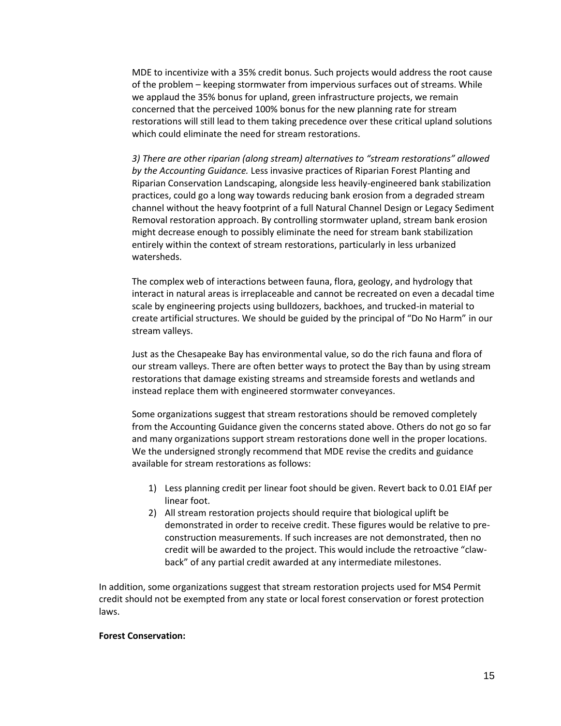MDE to incentivize with a 35% credit bonus. Such projects would address the root cause of the problem – keeping stormwater from impervious surfaces out of streams. While we applaud the 35% bonus for upland, green infrastructure projects, we remain concerned that the perceived 100% bonus for the new planning rate for stream restorations will still lead to them taking precedence over these critical upland solutions which could eliminate the need for stream restorations.

*3) There are other riparian (along stream) alternatives to "stream restorations" allowed by the Accounting Guidance.* Less invasive practices of Riparian Forest Planting and Riparian Conservation Landscaping, alongside less heavily-engineered bank stabilization practices, could go a long way towards reducing bank erosion from a degraded stream channel without the heavy footprint of a full Natural Channel Design or Legacy Sediment Removal restoration approach. By controlling stormwater upland, stream bank erosion might decrease enough to possibly eliminate the need for stream bank stabilization entirely within the context of stream restorations, particularly in less urbanized watersheds.

The complex web of interactions between fauna, flora, geology, and hydrology that interact in natural areas is irreplaceable and cannot be recreated on even a decadal time scale by engineering projects using bulldozers, backhoes, and trucked-in material to create artificial structures. We should be guided by the principal of "Do No Harm" in our stream valleys.

Just as the Chesapeake Bay has environmental value, so do the rich fauna and flora of our stream valleys. There are often better ways to protect the Bay than by using stream restorations that damage existing streams and streamside forests and wetlands and instead replace them with engineered stormwater conveyances.

Some organizations suggest that stream restorations should be removed completely from the Accounting Guidance given the concerns stated above. Others do not go so far and many organizations support stream restorations done well in the proper locations. We the undersigned strongly recommend that MDE revise the credits and guidance available for stream restorations as follows:

- 1) Less planning credit per linear foot should be given. Revert back to 0.01 EIAf per linear foot.
- 2) All stream restoration projects should require that biological uplift be demonstrated in order to receive credit. These figures would be relative to preconstruction measurements. If such increases are not demonstrated, then no credit will be awarded to the project. This would include the retroactive "clawback" of any partial credit awarded at any intermediate milestones.

In addition, some organizations suggest that stream restoration projects used for MS4 Permit credit should not be exempted from any state or local forest conservation or forest protection laws.

#### **Forest Conservation:**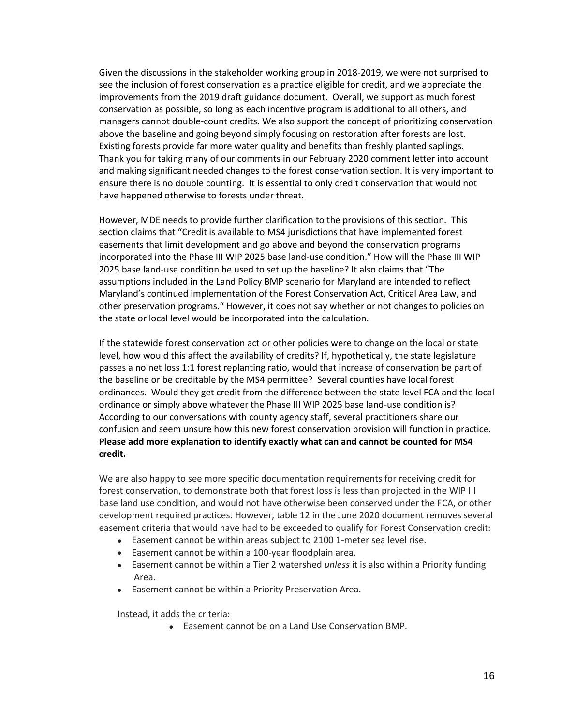Given the discussions in the stakeholder working group in 2018-2019, we were not surprised to see the inclusion of forest conservation as a practice eligible for credit, and we appreciate the improvements from the 2019 draft guidance document. Overall, we support as much forest conservation as possible, so long as each incentive program is additional to all others, and managers cannot double-count credits. We also support the concept of prioritizing conservation above the baseline and going beyond simply focusing on restoration after forests are lost. Existing forests provide far more water quality and benefits than freshly planted saplings. Thank you for taking many of our comments in our February 2020 comment letter into account and making significant needed changes to the forest conservation section. It is very important to ensure there is no double counting. It is essential to only credit conservation that would not have happened otherwise to forests under threat.

However, MDE needs to provide further clarification to the provisions of this section. This section claims that "Credit is available to MS4 jurisdictions that have implemented forest easements that limit development and go above and beyond the conservation programs incorporated into the Phase III WIP 2025 base land-use condition." How will the Phase III WIP 2025 base land-use condition be used to set up the baseline? It also claims that "The assumptions included in the Land Policy BMP scenario for Maryland are intended to reflect Maryland's continued implementation of the Forest Conservation Act, Critical Area Law, and other preservation programs." However, it does not say whether or not changes to policies on the state or local level would be incorporated into the calculation.

If the statewide forest conservation act or other policies were to change on the local or state level, how would this affect the availability of credits? If, hypothetically, the state legislature passes a no net loss 1:1 forest replanting ratio, would that increase of conservation be part of the baseline or be creditable by the MS4 permittee? Several counties have local forest ordinances. Would they get credit from the difference between the state level FCA and the local ordinance or simply above whatever the Phase III WIP 2025 base land-use condition is? According to our conversations with county agency staff, several practitioners share our confusion and seem unsure how this new forest conservation provision will function in practice. **Please add more explanation to identify exactly what can and cannot be counted for MS4 credit.** 

We are also happy to see more specific documentation requirements for receiving credit for forest conservation, to demonstrate both that forest loss is less than projected in the WIP III base land use condition, and would not have otherwise been conserved under the FCA, or other development required practices. However, table 12 in the June 2020 document removes several easement criteria that would have had to be exceeded to qualify for Forest Conservation credit:

- Easement cannot be within areas subject to 2100 1-meter sea level rise.
- Easement cannot be within a 100-year floodplain area.
- Easement cannot be within a Tier 2 watershed *unless* it is also within a Priority funding Area.
- Easement cannot be within a Priority Preservation Area.

Instead, it adds the criteria:

• Easement cannot be on a Land Use Conservation BMP.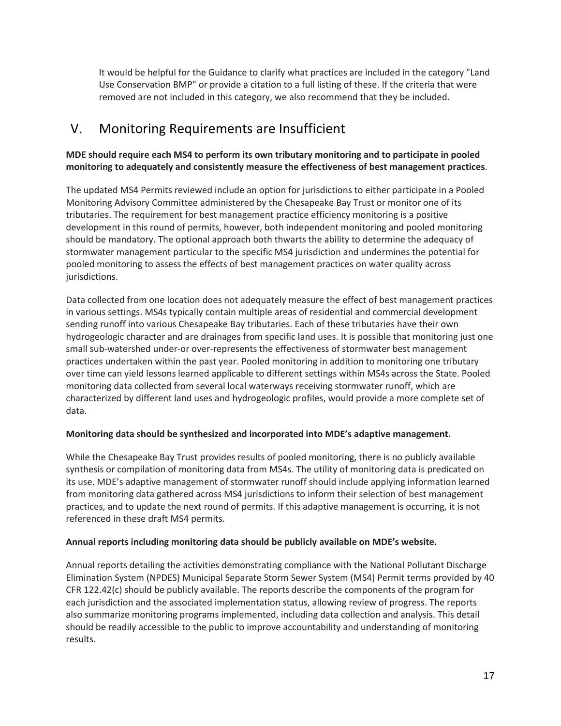It would be helpful for the Guidance to clarify what practices are included in the category "Land Use Conservation BMP" or provide a citation to a full listing of these. If the criteria that were removed are not included in this category, we also recommend that they be included.

## <span id="page-16-0"></span>V. Monitoring Requirements are Insufficient

#### **MDE should require each MS4 to perform its own tributary monitoring and to participate in pooled monitoring to adequately and consistently measure the effectiveness of best management practices**.

The updated MS4 Permits reviewed include an option for jurisdictions to either participate in a Pooled Monitoring Advisory Committee administered by the Chesapeake Bay Trust or monitor one of its tributaries. The requirement for best management practice efficiency monitoring is a positive development in this round of permits, however, both independent monitoring and pooled monitoring should be mandatory. The optional approach both thwarts the ability to determine the adequacy of stormwater management particular to the specific MS4 jurisdiction and undermines the potential for pooled monitoring to assess the effects of best management practices on water quality across jurisdictions.

Data collected from one location does not adequately measure the effect of best management practices in various settings. MS4s typically contain multiple areas of residential and commercial development sending runoff into various Chesapeake Bay tributaries. Each of these tributaries have their own hydrogeologic character and are drainages from specific land uses. It is possible that monitoring just one small sub-watershed under-or over-represents the effectiveness of stormwater best management practices undertaken within the past year. Pooled monitoring in addition to monitoring one tributary over time can yield lessons learned applicable to different settings within MS4s across the State. Pooled monitoring data collected from several local waterways receiving stormwater runoff, which are characterized by different land uses and hydrogeologic profiles, would provide a more complete set of data.

#### **Monitoring data should be synthesized and incorporated into MDE's adaptive management.**

While the Chesapeake Bay Trust provides results of pooled monitoring, there is no publicly available synthesis or compilation of monitoring data from MS4s. The utility of monitoring data is predicated on its use. MDE's adaptive management of stormwater runoff should include applying information learned from monitoring data gathered across MS4 jurisdictions to inform their selection of best management practices, and to update the next round of permits. If this adaptive management is occurring, it is not referenced in these draft MS4 permits.

#### **Annual reports including monitoring data should be publicly available on MDE's website.**

Annual reports detailing the activities demonstrating compliance with the National Pollutant Discharge Elimination System (NPDES) Municipal Separate Storm Sewer System (MS4) Permit terms provided by 40 CFR 122.42(c) should be publicly available. The reports describe the components of the program for each jurisdiction and the associated implementation status, allowing review of progress. The reports also summarize monitoring programs implemented, including data collection and analysis. This detail should be readily accessible to the public to improve accountability and understanding of monitoring results.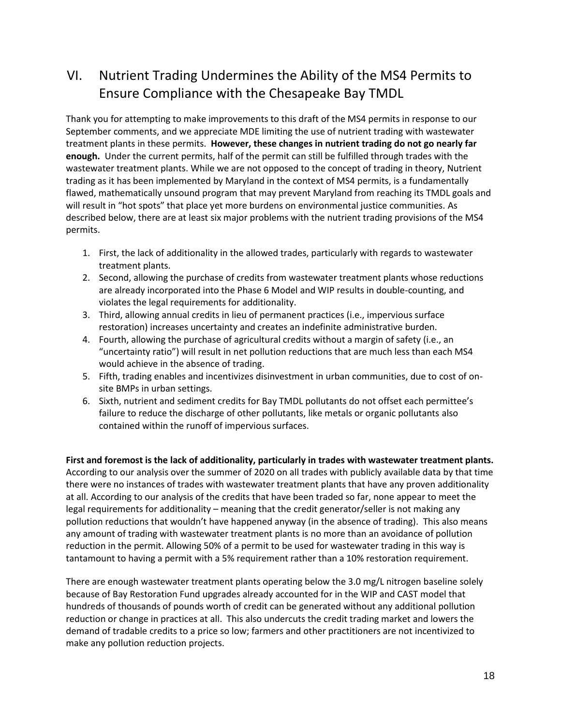## <span id="page-17-0"></span>VI. Nutrient Trading Undermines the Ability of the MS4 Permits to Ensure Compliance with the Chesapeake Bay TMDL

Thank you for attempting to make improvements to this draft of the MS4 permits in response to our September comments, and we appreciate MDE limiting the use of nutrient trading with wastewater treatment plants in these permits. **However, these changes in nutrient trading do not go nearly far enough.** Under the current permits, half of the permit can still be fulfilled through trades with the wastewater treatment plants. While we are not opposed to the concept of trading in theory, Nutrient trading as it has been implemented by Maryland in the context of MS4 permits, is a fundamentally flawed, mathematically unsound program that may prevent Maryland from reaching its TMDL goals and will result in "hot spots" that place yet more burdens on environmental justice communities. As described below, there are at least six major problems with the nutrient trading provisions of the MS4 permits.

- 1. First, the lack of additionality in the allowed trades, particularly with regards to wastewater treatment plants.
- 2. Second, allowing the purchase of credits from wastewater treatment plants whose reductions are already incorporated into the Phase 6 Model and WIP results in double-counting, and violates the legal requirements for additionality.
- 3. Third, allowing annual credits in lieu of permanent practices (i.e., impervious surface restoration) increases uncertainty and creates an indefinite administrative burden.
- 4. Fourth, allowing the purchase of agricultural credits without a margin of safety (i.e., an "uncertainty ratio") will result in net pollution reductions that are much less than each MS4 would achieve in the absence of trading.
- 5. Fifth, trading enables and incentivizes disinvestment in urban communities, due to cost of onsite BMPs in urban settings.
- 6. Sixth, nutrient and sediment credits for Bay TMDL pollutants do not offset each permittee's failure to reduce the discharge of other pollutants, like metals or organic pollutants also contained within the runoff of impervious surfaces.

**First and foremost is the lack of additionality, particularly in trades with wastewater treatment plants.**  According to our analysis over the summer of 2020 on all trades with publicly available data by that time there were no instances of trades with wastewater treatment plants that have any proven additionality at all. According to our analysis of the credits that have been traded so far, none appear to meet the legal requirements for additionality – meaning that the credit generator/seller is not making any pollution reductions that wouldn't have happened anyway (in the absence of trading). This also means any amount of trading with wastewater treatment plants is no more than an avoidance of pollution reduction in the permit. Allowing 50% of a permit to be used for wastewater trading in this way is tantamount to having a permit with a 5% requirement rather than a 10% restoration requirement.

There are enough wastewater treatment plants operating below the 3.0 mg/L nitrogen baseline solely because of Bay Restoration Fund upgrades already accounted for in the WIP and CAST model that hundreds of thousands of pounds worth of credit can be generated without any additional pollution reduction or change in practices at all. This also undercuts the credit trading market and lowers the demand of tradable credits to a price so low; farmers and other practitioners are not incentivized to make any pollution reduction projects.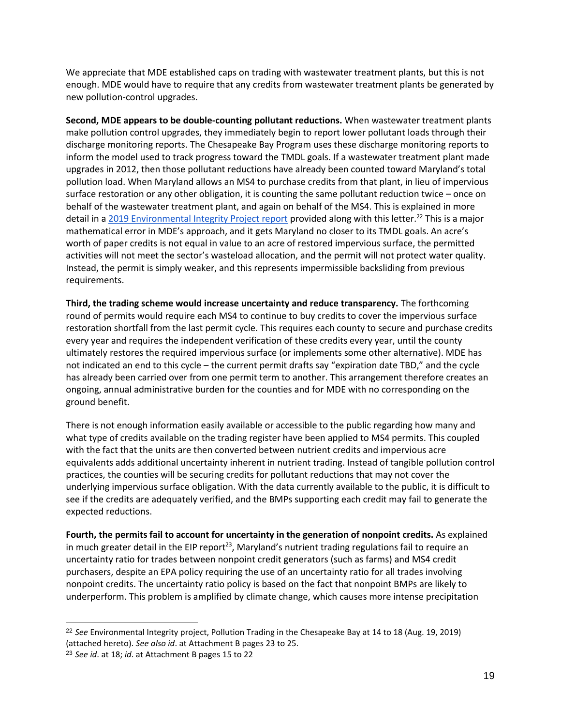We appreciate that MDE established caps on trading with wastewater treatment plants, but this is not enough. MDE would have to require that any credits from wastewater treatment plants be generated by new pollution-control upgrades.

**Second, MDE appears to be double-counting pollutant reductions.** When wastewater treatment plants make pollution control upgrades, they immediately begin to report lower pollutant loads through their discharge monitoring reports. The Chesapeake Bay Program uses these discharge monitoring reports to inform the model used to track progress toward the TMDL goals. If a wastewater treatment plant made upgrades in 2012, then those pollutant reductions have already been counted toward Maryland's total pollution load. When Maryland allows an MS4 to purchase credits from that plant, in lieu of impervious surface restoration or any other obligation, it is counting the same pollutant reduction twice – once on behalf of the wastewater treatment plant, and again on behalf of the MS4. This is explained in more detail in a 2019 Environmental Integrity Project report provided along with this letter.<sup>22</sup> This is a major mathematical error in MDE's approach, and it gets Maryland no closer to its TMDL goals. An acre's worth of paper credits is not equal in value to an acre of restored impervious surface, the permitted activities will not meet the sector's wasteload allocation, and the permit will not protect water quality. Instead, the permit is simply weaker, and this represents impermissible backsliding from previous requirements.

**Third, the trading scheme would increase uncertainty and reduce transparency.** The forthcoming round of permits would require each MS4 to continue to buy credits to cover the impervious surface restoration shortfall from the last permit cycle. This requires each county to secure and purchase credits every year and requires the independent verification of these credits every year, until the county ultimately restores the required impervious surface (or implements some other alternative). MDE has not indicated an end to this cycle – the current permit drafts say "expiration date TBD," and the cycle has already been carried over from one permit term to another. This arrangement therefore creates an ongoing, annual administrative burden for the counties and for MDE with no corresponding on the ground benefit.

There is not enough information easily available or accessible to the public regarding how many and what type of credits available on the trading register have been applied to MS4 permits. This coupled with the fact that the units are then converted between nutrient credits and impervious acre equivalents adds additional uncertainty inherent in nutrient trading. Instead of tangible pollution control practices, the counties will be securing credits for pollutant reductions that may not cover the underlying impervious surface obligation. With the data currently available to the public, it is difficult to see if the credits are adequately verified, and the BMPs supporting each credit may fail to generate the expected reductions.

**Fourth, the permits fail to account for uncertainty in the generation of nonpoint credits.** As explained in much greater detail in the EIP report<sup>23</sup>, Maryland's nutrient trading regulations fail to require an uncertainty ratio for trades between nonpoint credit generators (such as farms) and MS4 credit purchasers, despite an EPA policy requiring the use of an uncertainty ratio for all trades involving nonpoint credits. The uncertainty ratio policy is based on the fact that nonpoint BMPs are likely to underperform. This problem is amplified by climate change, which causes more intense precipitation

<sup>22</sup> *See* Environmental Integrity project, Pollution Trading in the Chesapeake Bay at 14 to 18 (Aug. 19, 2019) (attached hereto). *See also id*. at Attachment B pages 23 to 25.

<sup>23</sup> *See id*. at 18; *id*. at Attachment B pages 15 to 22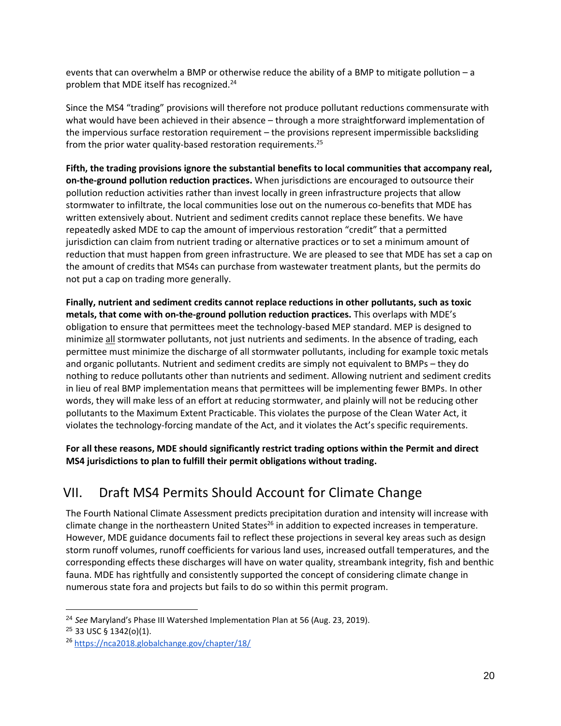events that can overwhelm a BMP or otherwise reduce the ability of a BMP to mitigate pollution – a problem that MDE itself has recognized.<sup>24</sup>

Since the MS4 "trading" provisions will therefore not produce pollutant reductions commensurate with what would have been achieved in their absence – through a more straightforward implementation of the impervious surface restoration requirement – the provisions represent impermissible backsliding from the prior water quality-based restoration requirements.<sup>25</sup>

**Fifth, the trading provisions ignore the substantial benefits to local communities that accompany real, on-the-ground pollution reduction practices.** When jurisdictions are encouraged to outsource their pollution reduction activities rather than invest locally in green infrastructure projects that allow stormwater to infiltrate, the local communities lose out on the numerous co-benefits that MDE has written extensively about. Nutrient and sediment credits cannot replace these benefits. We have repeatedly asked MDE to cap the amount of impervious restoration "credit" that a permitted jurisdiction can claim from nutrient trading or alternative practices or to set a minimum amount of reduction that must happen from green infrastructure. We are pleased to see that MDE has set a cap on the amount of credits that MS4s can purchase from wastewater treatment plants, but the permits do not put a cap on trading more generally.

**Finally, nutrient and sediment credits cannot replace reductions in other pollutants, such as toxic metals, that come with on-the-ground pollution reduction practices.** This overlaps with MDE's obligation to ensure that permittees meet the technology-based MEP standard. MEP is designed to minimize all stormwater pollutants, not just nutrients and sediments. In the absence of trading, each permittee must minimize the discharge of all stormwater pollutants, including for example toxic metals and organic pollutants. Nutrient and sediment credits are simply not equivalent to BMPs – they do nothing to reduce pollutants other than nutrients and sediment. Allowing nutrient and sediment credits in lieu of real BMP implementation means that permittees will be implementing fewer BMPs. In other words, they will make less of an effort at reducing stormwater, and plainly will not be reducing other pollutants to the Maximum Extent Practicable. This violates the purpose of the Clean Water Act, it violates the technology-forcing mandate of the Act, and it violates the Act's specific requirements.

**For all these reasons, MDE should significantly restrict trading options within the Permit and direct MS4 jurisdictions to plan to fulfill their permit obligations without trading.**

## <span id="page-19-0"></span>VII. Draft MS4 Permits Should Account for Climate Change

The Fourth National Climate Assessment predicts precipitation duration and intensity will increase with climate change in the northeastern United States<sup>26</sup> in addition to expected increases in temperature. However, MDE guidance documents fail to reflect these projections in several key areas such as design storm runoff volumes, runoff coefficients for various land uses, increased outfall temperatures, and the corresponding effects these discharges will have on water quality, streambank integrity, fish and benthic fauna. MDE has rightfully and consistently supported the concept of considering climate change in numerous state fora and projects but fails to do so within this permit program.

<sup>24</sup> *See* Maryland's Phase III Watershed Implementation Plan at 56 (Aug. 23, 2019).

<sup>25</sup> 33 USC § 1342(o)(1).

<sup>26</sup> https://nca2018.globalchange.gov/chapter/18/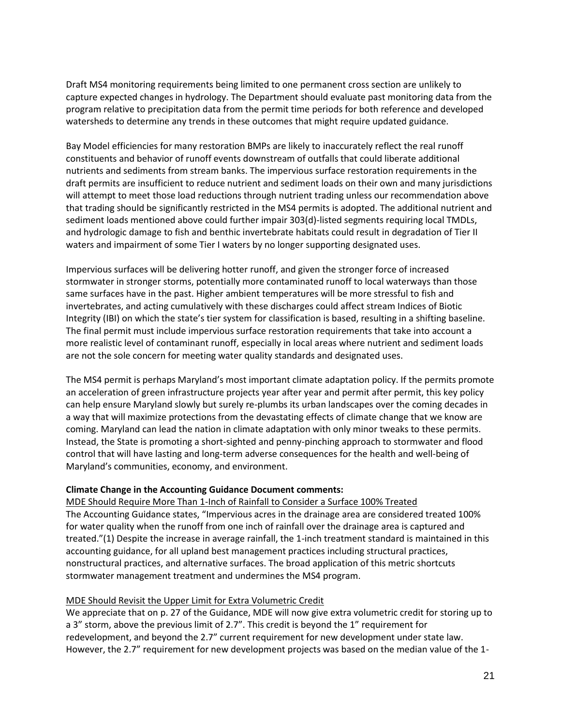Draft MS4 monitoring requirements being limited to one permanent cross section are unlikely to capture expected changes in hydrology. The Department should evaluate past monitoring data from the program relative to precipitation data from the permit time periods for both reference and developed watersheds to determine any trends in these outcomes that might require updated guidance.

Bay Model efficiencies for many restoration BMPs are likely to inaccurately reflect the real runoff constituents and behavior of runoff events downstream of outfalls that could liberate additional nutrients and sediments from stream banks. The impervious surface restoration requirements in the draft permits are insufficient to reduce nutrient and sediment loads on their own and many jurisdictions will attempt to meet those load reductions through nutrient trading unless our recommendation above that trading should be significantly restricted in the MS4 permits is adopted. The additional nutrient and sediment loads mentioned above could further impair 303(d)-listed segments requiring local TMDLs, and hydrologic damage to fish and benthic invertebrate habitats could result in degradation of Tier II waters and impairment of some Tier I waters by no longer supporting designated uses.

Impervious surfaces will be delivering hotter runoff, and given the stronger force of increased stormwater in stronger storms, potentially more contaminated runoff to local waterways than those same surfaces have in the past. Higher ambient temperatures will be more stressful to fish and invertebrates, and acting cumulatively with these discharges could affect stream Indices of Biotic Integrity (IBI) on which the state's tier system for classification is based, resulting in a shifting baseline. The final permit must include impervious surface restoration requirements that take into account a more realistic level of contaminant runoff, especially in local areas where nutrient and sediment loads are not the sole concern for meeting water quality standards and designated uses.

The MS4 permit is perhaps Maryland's most important climate adaptation policy. If the permits promote an acceleration of green infrastructure projects year after year and permit after permit, this key policy can help ensure Maryland slowly but surely re-plumbs its urban landscapes over the coming decades in a way that will maximize protections from the devastating effects of climate change that we know are coming. Maryland can lead the nation in climate adaptation with only minor tweaks to these permits. Instead, the State is promoting a short-sighted and penny-pinching approach to stormwater and flood control that will have lasting and long-term adverse consequences for the health and well-being of Maryland's communities, economy, and environment.

#### **Climate Change in the Accounting Guidance Document comments:**

MDE Should Require More Than 1-Inch of Rainfall to Consider a Surface 100% Treated The Accounting Guidance states, "Impervious acres in the drainage area are considered treated 100% for water quality when the runoff from one inch of rainfall over the drainage area is captured and treated."(1) Despite the increase in average rainfall, the 1-inch treatment standard is maintained in this accounting guidance, for all upland best management practices including structural practices, nonstructural practices, and alternative surfaces. The broad application of this metric shortcuts stormwater management treatment and undermines the MS4 program.

#### MDE Should Revisit the Upper Limit for Extra Volumetric Credit

We appreciate that on p. 27 of the Guidance, MDE will now give extra volumetric credit for storing up to a 3" storm, above the previous limit of 2.7". This credit is beyond the 1" requirement for redevelopment, and beyond the 2.7" current requirement for new development under state law. However, the 2.7" requirement for new development projects was based on the median value of the 1-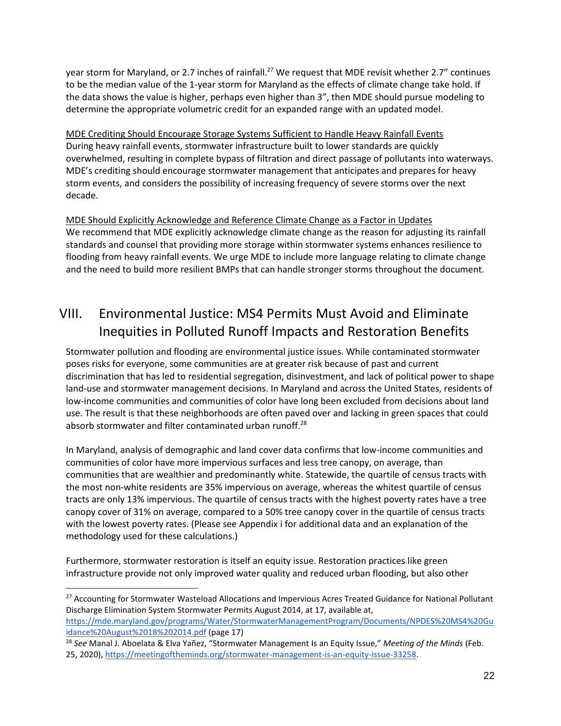year storm for Maryland, or 2.7 inches of rainfall.<sup>27</sup> We request that MDE revisit whether 2.7" continues to be the median value of the 1-year storm for Maryland as the effects of climate change take hold. If the data shows the value is higher, perhaps even higher than 3", then MDE should pursue modeling to determine the appropriate volumetric credit for an expanded range with an updated model.

MDE Crediting Should Encourage Storage Systems Sufficient to Handle Heavy Rainfall Events During heavy rainfall events, stormwater infrastructure built to lower standards are quickly overwhelmed, resulting in complete bypass of filtration and direct passage of pollutants into waterways. MDE's crediting should encourage stormwater management that anticipates and prepares for heavy storm events, and considers the possibility of increasing frequency of severe storms over the next decade.

MDE Should Explicitly Acknowledge and Reference Climate Change as a Factor in Updates We recommend that MDE explicitly acknowledge climate change as the reason for adjusting its rainfall standards and counsel that providing more storage within stormwater systems enhances resilience to flooding from heavy rainfall events. We urge MDE to include more language relating to climate change and the need to build more resilient BMPs that can handle stronger storms throughout the document.

## <span id="page-21-0"></span>VIII. Environmental Justice: MS4 Permits Must Avoid and Eliminate Inequities in Polluted Runoff Impacts and Restoration Benefits

Stormwater pollution and flooding are environmental justice issues. While contaminated stormwater poses risks for everyone, some communities are at greater risk because of past and current discrimination that has led to residential segregation, disinvestment, and lack of political power to shape land-use and stormwater management decisions. In Maryland and across the United States, residents of low-income communities and communities of color have long been excluded from decisions about land use. The result is that these neighborhoods are often paved over and lacking in green spaces that could absorb stormwater and filter contaminated urban runoff.<sup>28</sup>

In Maryland, analysis of demographic and land cover data confirms that low-income communities and communities of color have more impervious surfaces and less tree canopy, on average, than communities that are wealthier and predominantly white. Statewide, the quartile of census tracts with the most non-white residents are 35% impervious on average, whereas the whitest quartile of census tracts are only 13% impervious. The quartile of census tracts with the highest poverty rates have a tree canopy cover of 31% on average, compared to a 50% tree canopy cover in the quartile of census tracts with the lowest poverty rates. (Please see Appendix i for additional data and an explanation of the methodology used for these calculations.)

Furthermore, stormwater restoration is itself an equity issue. Restoration practices like green infrastructure provide not only improved water quality and reduced urban flooding, but also other

<sup>&</sup>lt;sup>27</sup> Accounting for Stormwater Wasteload Allocations and Impervious Acres Treated Guidance for National Pollutant Discharge Elimination System Stormwater Permits August 2014, at 17, available at,

https://mde.maryland.gov/programs/Water/StormwaterManagementProgram/Documents/NPDES%20MS4%20Gu idance%20August%2018%202014.pdf (page 17)

<sup>28</sup> *See* Manal J. Aboelata & Elva Yañez, "Stormwater Management Is an Equity Issue," *Meeting of the Minds* (Feb. 25, 2020), https://meetingoftheminds.org/stormwater-management-is-an-equity-issue-33258.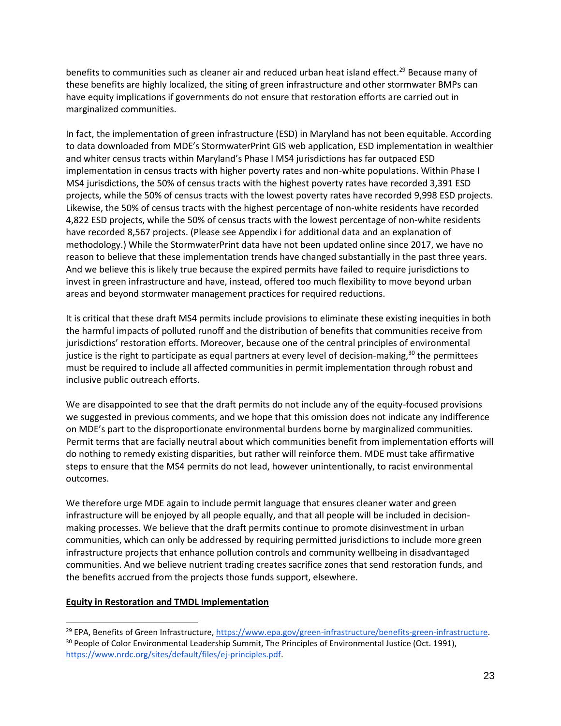benefits to communities such as cleaner air and reduced urban heat island effect.<sup>29</sup> Because many of these benefits are highly localized, the siting of green infrastructure and other stormwater BMPs can have equity implications if governments do not ensure that restoration efforts are carried out in marginalized communities.

In fact, the implementation of green infrastructure (ESD) in Maryland has not been equitable. According to data downloaded from MDE's StormwaterPrint GIS web application, ESD implementation in wealthier and whiter census tracts within Maryland's Phase I MS4 jurisdictions has far outpaced ESD implementation in census tracts with higher poverty rates and non-white populations. Within Phase I MS4 jurisdictions, the 50% of census tracts with the highest poverty rates have recorded 3,391 ESD projects, while the 50% of census tracts with the lowest poverty rates have recorded 9,998 ESD projects. Likewise, the 50% of census tracts with the highest percentage of non-white residents have recorded 4,822 ESD projects, while the 50% of census tracts with the lowest percentage of non-white residents have recorded 8,567 projects. (Please see Appendix i for additional data and an explanation of methodology.) While the StormwaterPrint data have not been updated online since 2017, we have no reason to believe that these implementation trends have changed substantially in the past three years. And we believe this is likely true because the expired permits have failed to require jurisdictions to invest in green infrastructure and have, instead, offered too much flexibility to move beyond urban areas and beyond stormwater management practices for required reductions.

It is critical that these draft MS4 permits include provisions to eliminate these existing inequities in both the harmful impacts of polluted runoff and the distribution of benefits that communities receive from jurisdictions' restoration efforts. Moreover, because one of the central principles of environmental justice is the right to participate as equal partners at every level of decision-making, $30$  the permittees must be required to include all affected communities in permit implementation through robust and inclusive public outreach efforts.

We are disappointed to see that the draft permits do not include any of the equity-focused provisions we suggested in previous comments, and we hope that this omission does not indicate any indifference on MDE's part to the disproportionate environmental burdens borne by marginalized communities. Permit terms that are facially neutral about which communities benefit from implementation efforts will do nothing to remedy existing disparities, but rather will reinforce them. MDE must take affirmative steps to ensure that the MS4 permits do not lead, however unintentionally, to racist environmental outcomes.

We therefore urge MDE again to include permit language that ensures cleaner water and green infrastructure will be enjoyed by all people equally, and that all people will be included in decisionmaking processes. We believe that the draft permits continue to promote disinvestment in urban communities, which can only be addressed by requiring permitted jurisdictions to include more green infrastructure projects that enhance pollution controls and community wellbeing in disadvantaged communities. And we believe nutrient trading creates sacrifice zones that send restoration funds, and the benefits accrued from the projects those funds support, elsewhere.

#### **Equity in Restoration and TMDL Implementation**

<sup>&</sup>lt;sup>29</sup> EPA, Benefits of Green Infrastructure, https://www.epa.gov/green-infrastructure/benefits-green-infrastructure. <sup>30</sup> People of Color Environmental Leadership Summit, The Principles of Environmental Justice (Oct. 1991), https://www.nrdc.org/sites/default/files/ej-principles.pdf.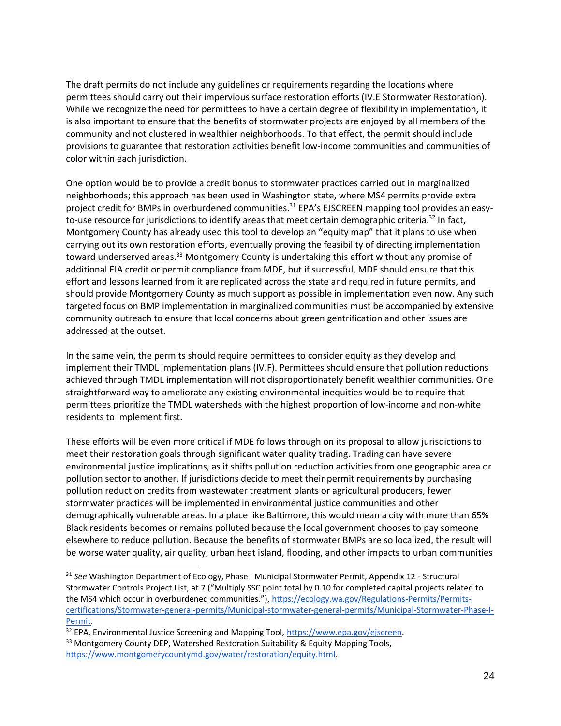The draft permits do not include any guidelines or requirements regarding the locations where permittees should carry out their impervious surface restoration efforts (IV.E Stormwater Restoration). While we recognize the need for permittees to have a certain degree of flexibility in implementation, it is also important to ensure that the benefits of stormwater projects are enjoyed by all members of the community and not clustered in wealthier neighborhoods. To that effect, the permit should include provisions to guarantee that restoration activities benefit low-income communities and communities of color within each jurisdiction.

One option would be to provide a credit bonus to stormwater practices carried out in marginalized neighborhoods; this approach has been used in Washington state, where MS4 permits provide extra project credit for BMPs in overburdened communities.<sup>31</sup> EPA's EJSCREEN mapping tool provides an easyto-use resource for jurisdictions to identify areas that meet certain demographic criteria.<sup>32</sup> In fact, Montgomery County has already used this tool to develop an "equity map" that it plans to use when carrying out its own restoration efforts, eventually proving the feasibility of directing implementation toward underserved areas.<sup>33</sup> Montgomery County is undertaking this effort without any promise of additional EIA credit or permit compliance from MDE, but if successful, MDE should ensure that this effort and lessons learned from it are replicated across the state and required in future permits, and should provide Montgomery County as much support as possible in implementation even now. Any such targeted focus on BMP implementation in marginalized communities must be accompanied by extensive community outreach to ensure that local concerns about green gentrification and other issues are addressed at the outset.

In the same vein, the permits should require permittees to consider equity as they develop and implement their TMDL implementation plans (IV.F). Permittees should ensure that pollution reductions achieved through TMDL implementation will not disproportionately benefit wealthier communities. One straightforward way to ameliorate any existing environmental inequities would be to require that permittees prioritize the TMDL watersheds with the highest proportion of low-income and non-white residents to implement first.

These efforts will be even more critical if MDE follows through on its proposal to allow jurisdictions to meet their restoration goals through significant water quality trading. Trading can have severe environmental justice implications, as it shifts pollution reduction activities from one geographic area or pollution sector to another. If jurisdictions decide to meet their permit requirements by purchasing pollution reduction credits from wastewater treatment plants or agricultural producers, fewer stormwater practices will be implemented in environmental justice communities and other demographically vulnerable areas. In a place like Baltimore, this would mean a city with more than 65% Black residents becomes or remains polluted because the local government chooses to pay someone elsewhere to reduce pollution. Because the benefits of stormwater BMPs are so localized, the result will be worse water quality, air quality, urban heat island, flooding, and other impacts to urban communities

<sup>31</sup> *See* Washington Department of Ecology, Phase I Municipal Stormwater Permit, Appendix 12 - Structural Stormwater Controls Project List, at 7 ("Multiply SSC point total by 0.10 for completed capital projects related to the MS4 which occur in overburdened communities."), https://ecology.wa.gov/Regulations-Permits/Permitscertifications/Stormwater-general-permits/Municipal-stormwater-general-permits/Municipal-Stormwater-Phase-I-Permit.

<sup>32</sup> EPA, Environmental Justice Screening and Mapping Tool, https://www.epa.gov/ejscreen.

<sup>&</sup>lt;sup>33</sup> Montgomery County DEP, Watershed Restoration Suitability & Equity Mapping Tools, https://www.montgomerycountymd.gov/water/restoration/equity.html.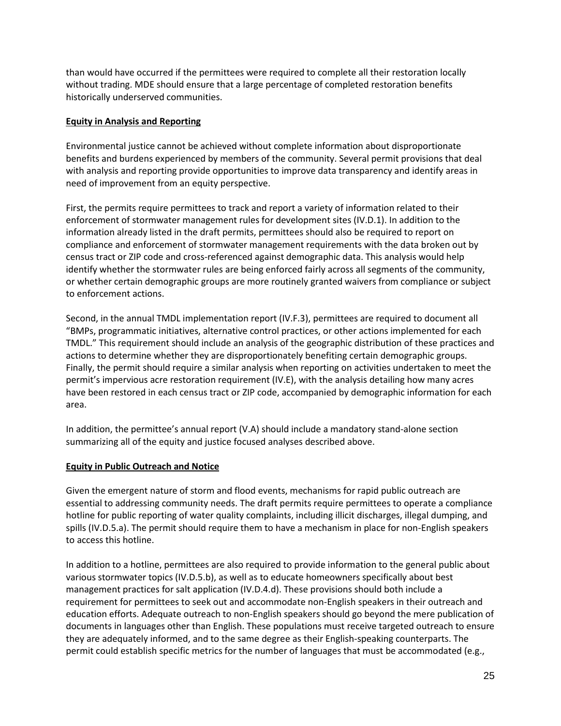than would have occurred if the permittees were required to complete all their restoration locally without trading. MDE should ensure that a large percentage of completed restoration benefits historically underserved communities.

#### **Equity in Analysis and Reporting**

Environmental justice cannot be achieved without complete information about disproportionate benefits and burdens experienced by members of the community. Several permit provisions that deal with analysis and reporting provide opportunities to improve data transparency and identify areas in need of improvement from an equity perspective.

First, the permits require permittees to track and report a variety of information related to their enforcement of stormwater management rules for development sites (IV.D.1). In addition to the information already listed in the draft permits, permittees should also be required to report on compliance and enforcement of stormwater management requirements with the data broken out by census tract or ZIP code and cross-referenced against demographic data. This analysis would help identify whether the stormwater rules are being enforced fairly across all segments of the community, or whether certain demographic groups are more routinely granted waivers from compliance or subject to enforcement actions.

Second, in the annual TMDL implementation report (IV.F.3), permittees are required to document all "BMPs, programmatic initiatives, alternative control practices, or other actions implemented for each TMDL." This requirement should include an analysis of the geographic distribution of these practices and actions to determine whether they are disproportionately benefiting certain demographic groups. Finally, the permit should require a similar analysis when reporting on activities undertaken to meet the permit's impervious acre restoration requirement (IV.E), with the analysis detailing how many acres have been restored in each census tract or ZIP code, accompanied by demographic information for each area.

In addition, the permittee's annual report (V.A) should include a mandatory stand-alone section summarizing all of the equity and justice focused analyses described above.

#### **Equity in Public Outreach and Notice**

Given the emergent nature of storm and flood events, mechanisms for rapid public outreach are essential to addressing community needs. The draft permits require permittees to operate a compliance hotline for public reporting of water quality complaints, including illicit discharges, illegal dumping, and spills (IV.D.5.a). The permit should require them to have a mechanism in place for non-English speakers to access this hotline.

In addition to a hotline, permittees are also required to provide information to the general public about various stormwater topics (IV.D.5.b), as well as to educate homeowners specifically about best management practices for salt application (IV.D.4.d). These provisions should both include a requirement for permittees to seek out and accommodate non-English speakers in their outreach and education efforts. Adequate outreach to non-English speakers should go beyond the mere publication of documents in languages other than English. These populations must receive targeted outreach to ensure they are adequately informed, and to the same degree as their English-speaking counterparts. The permit could establish specific metrics for the number of languages that must be accommodated (e.g.,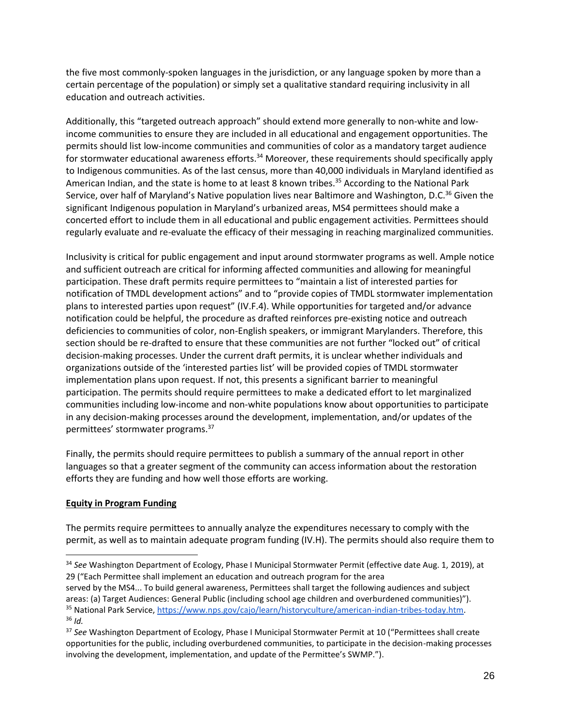the five most commonly-spoken languages in the jurisdiction, or any language spoken by more than a certain percentage of the population) or simply set a qualitative standard requiring inclusivity in all education and outreach activities.

Additionally, this "targeted outreach approach" should extend more generally to non-white and lowincome communities to ensure they are included in all educational and engagement opportunities. The permits should list low-income communities and communities of color as a mandatory target audience for stormwater educational awareness efforts.<sup>34</sup> Moreover, these requirements should specifically apply to Indigenous communities. As of the last census, more than 40,000 individuals in Maryland identified as American Indian, and the state is home to at least 8 known tribes.<sup>35</sup> According to the National Park Service, over half of Maryland's Native population lives near Baltimore and Washington, D.C.<sup>36</sup> Given the significant Indigenous population in Maryland's urbanized areas, MS4 permittees should make a concerted effort to include them in all educational and public engagement activities. Permittees should regularly evaluate and re-evaluate the efficacy of their messaging in reaching marginalized communities.

Inclusivity is critical for public engagement and input around stormwater programs as well. Ample notice and sufficient outreach are critical for informing affected communities and allowing for meaningful participation. These draft permits require permittees to "maintain a list of interested parties for notification of TMDL development actions" and to "provide copies of TMDL stormwater implementation plans to interested parties upon request" (IV.F.4). While opportunities for targeted and/or advance notification could be helpful, the procedure as drafted reinforces pre-existing notice and outreach deficiencies to communities of color, non-English speakers, or immigrant Marylanders. Therefore, this section should be re-drafted to ensure that these communities are not further "locked out" of critical decision-making processes. Under the current draft permits, it is unclear whether individuals and organizations outside of the 'interested parties list' will be provided copies of TMDL stormwater implementation plans upon request. If not, this presents a significant barrier to meaningful participation. The permits should require permittees to make a dedicated effort to let marginalized communities including low-income and non-white populations know about opportunities to participate in any decision-making processes around the development, implementation, and/or updates of the permittees' stormwater programs.<sup>37</sup>

Finally, the permits should require permittees to publish a summary of the annual report in other languages so that a greater segment of the community can access information about the restoration efforts they are funding and how well those efforts are working.

#### **Equity in Program Funding**

The permits require permittees to annually analyze the expenditures necessary to comply with the permit, as well as to maintain adequate program funding (IV.H). The permits should also require them to

<sup>34</sup> *See* Washington Department of Ecology, Phase I Municipal Stormwater Permit (effective date Aug. 1, 2019), at 29 ("Each Permittee shall implement an education and outreach program for the area

served by the MS4... To build general awareness, Permittees shall target the following audiences and subject areas: (a) Target Audiences: General Public (including school age children and overburdened communities)"). 35 National Park Service, https://www.nps.gov/cajo/learn/historyculture/american-indian-tribes-today.htm. <sup>36</sup> *Id.*

<sup>37</sup> *See* Washington Department of Ecology, Phase I Municipal Stormwater Permit at 10 ("Permittees shall create opportunities for the public, including overburdened communities, to participate in the decision-making processes involving the development, implementation, and update of the Permittee's SWMP.").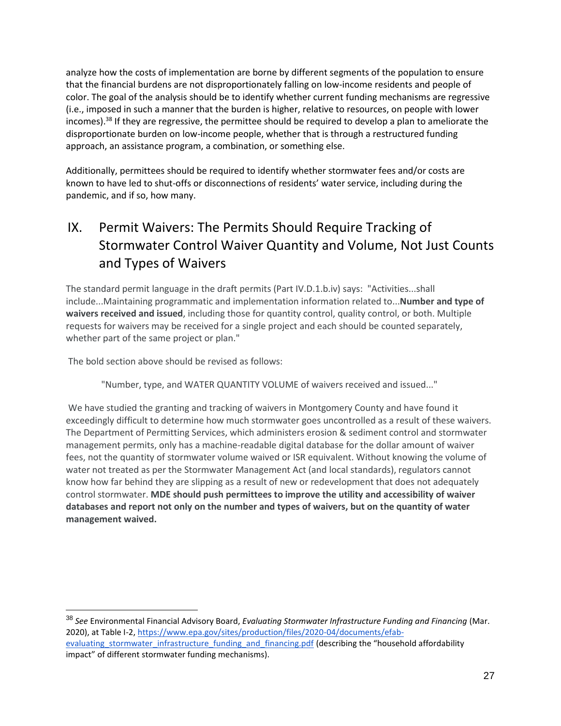analyze how the costs of implementation are borne by different segments of the population to ensure that the financial burdens are not disproportionately falling on low-income residents and people of color. The goal of the analysis should be to identify whether current funding mechanisms are regressive (i.e., imposed in such a manner that the burden is higher, relative to resources, on people with lower incomes).<sup>38</sup> If they are regressive, the permittee should be required to develop a plan to ameliorate the disproportionate burden on low-income people, whether that is through a restructured funding approach, an assistance program, a combination, or something else.

Additionally, permittees should be required to identify whether stormwater fees and/or costs are known to have led to shut-offs or disconnections of residents' water service, including during the pandemic, and if so, how many.

## <span id="page-26-0"></span>IX. Permit Waivers: The Permits Should Require Tracking of Stormwater Control Waiver Quantity and Volume, Not Just Counts and Types of Waivers

The standard permit language in the draft permits (Part IV.D.1.b.iv) says: "Activities...shall include...Maintaining programmatic and implementation information related to...**Number and type of waivers received and issued**, including those for quantity control, quality control, or both. Multiple requests for waivers may be received for a single project and each should be counted separately, whether part of the same project or plan."

The bold section above should be revised as follows:

"Number, type, and WATER QUANTITY VOLUME of waivers received and issued..."

We have studied the granting and tracking of waivers in Montgomery County and have found it exceedingly difficult to determine how much stormwater goes uncontrolled as a result of these waivers. The Department of Permitting Services, which administers erosion & sediment control and stormwater management permits, only has a machine-readable digital database for the dollar amount of waiver fees, not the quantity of stormwater volume waived or ISR equivalent. Without knowing the volume of water not treated as per the Stormwater Management Act (and local standards), regulators cannot know how far behind they are slipping as a result of new or redevelopment that does not adequately control stormwater. **MDE should push permittees to improve the utility and accessibility of waiver databases and report not only on the number and types of waivers, but on the quantity of water management waived.**

<sup>38</sup> *See* Environmental Financial Advisory Board, *Evaluating Stormwater Infrastructure Funding and Financing* (Mar. 2020), at Table I-2, https://www.epa.gov/sites/production/files/2020-04/documents/efabevaluating stormwater infrastructure funding and financing.pdf (describing the "household affordability impact" of different stormwater funding mechanisms).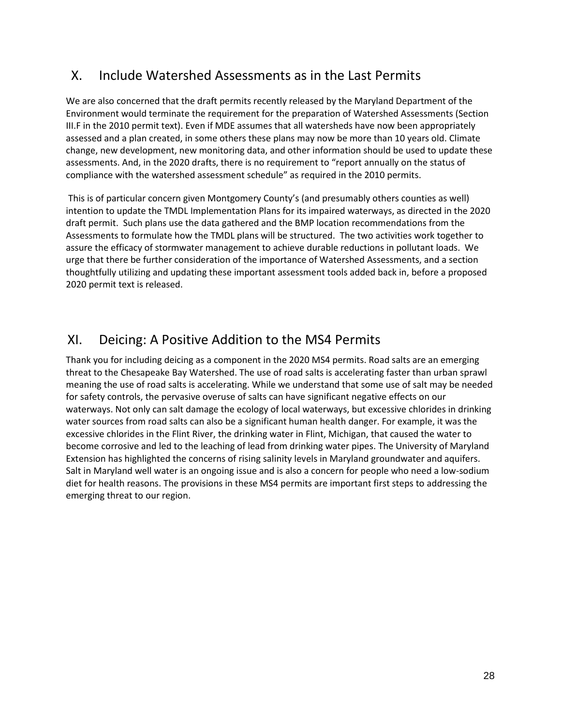## <span id="page-27-0"></span>X. Include Watershed Assessments as in the Last Permits

We are also concerned that the draft permits recently released by the Maryland Department of the Environment would terminate the requirement for the preparation of Watershed Assessments (Section III.F in the 2010 permit text). Even if MDE assumes that all watersheds have now been appropriately assessed and a plan created, in some others these plans may now be more than 10 years old. Climate change, new development, new monitoring data, and other information should be used to update these assessments. And, in the 2020 drafts, there is no requirement to "report annually on the status of compliance with the watershed assessment schedule" as required in the 2010 permits.

This is of particular concern given Montgomery County's (and presumably others counties as well) intention to update the TMDL Implementation Plans for its impaired waterways, as directed in the 2020 draft permit. Such plans use the data gathered and the BMP location recommendations from the Assessments to formulate how the TMDL plans will be structured. The two activities work together to assure the efficacy of stormwater management to achieve durable reductions in pollutant loads. We urge that there be further consideration of the importance of Watershed Assessments, and a section thoughtfully utilizing and updating these important assessment tools added back in, before a proposed 2020 permit text is released.

## <span id="page-27-1"></span>XI. Deicing: A Positive Addition to the MS4 Permits

<span id="page-27-2"></span>Thank you for including deicing as a component in the 2020 MS4 permits. Road salts are an emerging threat to the Chesapeake Bay Watershed. The use of road salts is accelerating faster than urban sprawl meaning the use of road salts is accelerating. While we understand that some use of salt may be needed for safety controls, the pervasive overuse of salts can have significant negative effects on our waterways. Not only can salt damage the ecology of local waterways, but excessive chlorides in drinking water sources from road salts can also be a significant human health danger. For example, it was the excessive chlorides in the Flint River, the drinking water in Flint, Michigan, that caused the water to become corrosive and led to the leaching of lead from drinking water pipes. The University of Maryland Extension has highlighted the concerns of rising salinity levels in Maryland groundwater and aquifers. Salt in Maryland well water is an ongoing issue and is also a concern for people who need a low-sodium diet for health reasons. The provisions in these MS4 permits are important first steps to addressing the emerging threat to our region.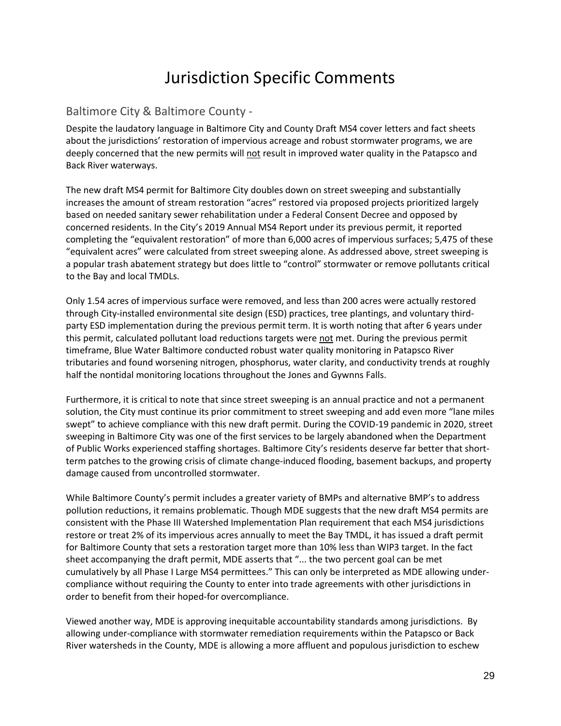## Jurisdiction Specific Comments

#### <span id="page-28-0"></span>Baltimore City & Baltimore County -

Despite the laudatory language in Baltimore City and County Draft MS4 cover letters and fact sheets about the jurisdictions' restoration of impervious acreage and robust stormwater programs, we are deeply concerned that the new permits will not result in improved water quality in the Patapsco and Back River waterways.

The new draft MS4 permit for Baltimore City doubles down on street sweeping and substantially increases the amount of stream restoration "acres" restored via proposed projects prioritized largely based on needed sanitary sewer rehabilitation under a Federal Consent Decree and opposed by concerned residents. In the City's 2019 Annual MS4 Report under its previous permit, it reported completing the "equivalent restoration" of more than 6,000 acres of impervious surfaces; 5,475 of these "equivalent acres" were calculated from street sweeping alone. As addressed above, street sweeping is a popular trash abatement strategy but does little to "control" stormwater or remove pollutants critical to the Bay and local TMDLs.

Only 1.54 acres of impervious surface were removed, and less than 200 acres were actually restored through City-installed environmental site design (ESD) practices, tree plantings, and voluntary thirdparty ESD implementation during the previous permit term. It is worth noting that after 6 years under this permit, calculated pollutant load reductions targets were not met. During the previous permit timeframe, Blue Water Baltimore conducted robust water quality monitoring in Patapsco River tributaries and found worsening nitrogen, phosphorus, water clarity, and conductivity trends at roughly half the nontidal monitoring locations throughout the Jones and Gywnns Falls.

Furthermore, it is critical to note that since street sweeping is an annual practice and not a permanent solution, the City must continue its prior commitment to street sweeping and add even more "lane miles swept" to achieve compliance with this new draft permit. During the COVID-19 pandemic in 2020, street sweeping in Baltimore City was one of the first services to be largely abandoned when the Department of Public Works experienced staffing shortages. Baltimore City's residents deserve far better that shortterm patches to the growing crisis of climate change-induced flooding, basement backups, and property damage caused from uncontrolled stormwater.

While Baltimore County's permit includes a greater variety of BMPs and alternative BMP's to address pollution reductions, it remains problematic. Though MDE suggests that the new draft MS4 permits are consistent with the Phase III Watershed Implementation Plan requirement that each MS4 jurisdictions restore or treat 2% of its impervious acres annually to meet the Bay TMDL, it has issued a draft permit for Baltimore County that sets a restoration target more than 10% less than WIP3 target. In the fact sheet accompanying the draft permit, MDE asserts that "... the two percent goal can be met cumulatively by all Phase I Large MS4 permittees." This can only be interpreted as MDE allowing undercompliance without requiring the County to enter into trade agreements with other jurisdictions in order to benefit from their hoped-for overcompliance.

Viewed another way, MDE is approving inequitable accountability standards among jurisdictions. By allowing under-compliance with stormwater remediation requirements within the Patapsco or Back River watersheds in the County, MDE is allowing a more affluent and populous jurisdiction to eschew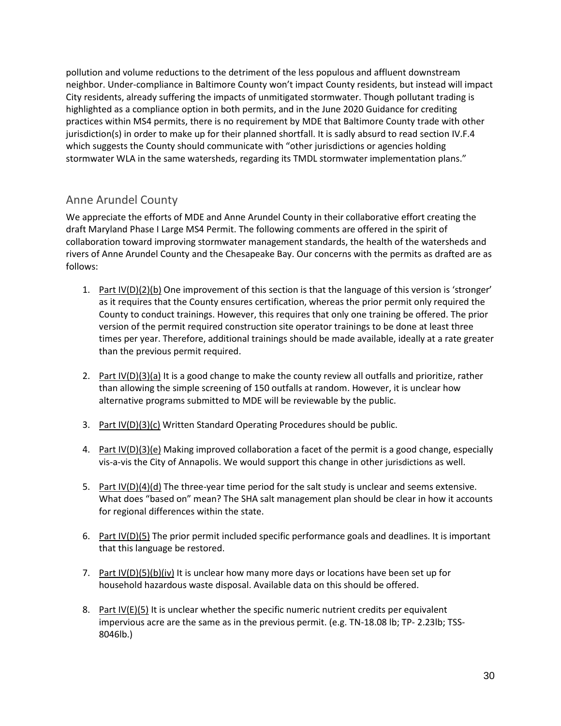pollution and volume reductions to the detriment of the less populous and affluent downstream neighbor. Under-compliance in Baltimore County won't impact County residents, but instead will impact City residents, already suffering the impacts of unmitigated stormwater. Though pollutant trading is highlighted as a compliance option in both permits, and in the June 2020 Guidance for crediting practices within MS4 permits, there is no requirement by MDE that Baltimore County trade with other jurisdiction(s) in order to make up for their planned shortfall. It is sadly absurd to read section IV.F.4 which suggests the County should communicate with "other jurisdictions or agencies holding stormwater WLA in the same watersheds, regarding its TMDL stormwater implementation plans."

#### <span id="page-29-0"></span>Anne Arundel County

We appreciate the efforts of MDE and Anne Arundel County in their collaborative effort creating the draft Maryland Phase I Large MS4 Permit. The following comments are offered in the spirit of collaboration toward improving stormwater management standards, the health of the watersheds and rivers of Anne Arundel County and the Chesapeake Bay. Our concerns with the permits as drafted are as follows:

- 1. Part IV(D)(2)(b) One improvement of this section is that the language of this version is 'stronger' as it requires that the County ensures certification, whereas the prior permit only required the County to conduct trainings. However, this requires that only one training be offered. The prior version of the permit required construction site operator trainings to be done at least three times per year. Therefore, additional trainings should be made available, ideally at a rate greater than the previous permit required.
- 2. Part  $\text{IV}(D)(3)(a)$  It is a good change to make the county review all outfalls and prioritize, rather than allowing the simple screening of 150 outfalls at random. However, it is unclear how alternative programs submitted to MDE will be reviewable by the public.
- 3. Part IV(D)(3)(c) Written Standard Operating Procedures should be public.
- 4. Part IV(D)(3)(e) Making improved collaboration a facet of the permit is a good change, especially vis-a-vis the City of Annapolis. We would support this change in other jurisdictions as well.
- 5. Part  $IV(D)(4)(d)$  The three-year time period for the salt study is unclear and seems extensive. What does "based on" mean? The SHA salt management plan should be clear in how it accounts for regional differences within the state.
- 6. Part IV(D)(5) The prior permit included specific performance goals and deadlines. It is important that this language be restored.
- 7. Part IV(D)(5)(b)(iv) It is unclear how many more days or locations have been set up for household hazardous waste disposal. Available data on this should be offered.
- 8. Part  $IV(E)(5)$  It is unclear whether the specific numeric nutrient credits per equivalent impervious acre are the same as in the previous permit. (e.g. TN-18.08 lb; TP- 2.23lb; TSS-8046lb.)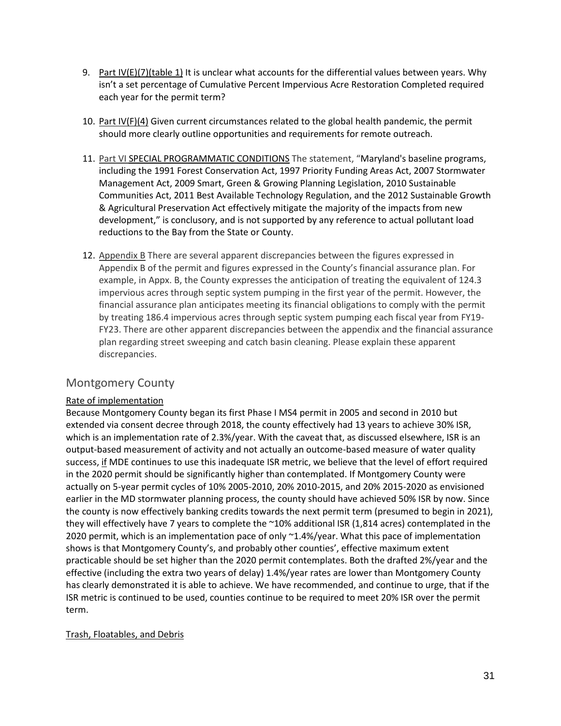- 9. Part IV(E)(7)(table 1) It is unclear what accounts for the differential values between years. Why isn't a set percentage of Cumulative Percent Impervious Acre Restoration Completed required each year for the permit term?
- 10. Part IV(F)(4) Given current circumstances related to the global health pandemic, the permit should more clearly outline opportunities and requirements for remote outreach.
- 11. Part VI SPECIAL PROGRAMMATIC CONDITIONS The statement, "Maryland's baseline programs, including the 1991 Forest Conservation Act, 1997 Priority Funding Areas Act, 2007 Stormwater Management Act, 2009 Smart, Green & Growing Planning Legislation, 2010 Sustainable Communities Act, 2011 Best Available Technology Regulation, and the 2012 Sustainable Growth & Agricultural Preservation Act effectively mitigate the majority of the impacts from new development," is conclusory, and is not supported by any reference to actual pollutant load reductions to the Bay from the State or County.
- 12. Appendix B There are several apparent discrepancies between the figures expressed in Appendix B of the permit and figures expressed in the County's financial assurance plan. For example, in Appx. B, the County expresses the anticipation of treating the equivalent of 124.3 impervious acres through septic system pumping in the first year of the permit. However, the financial assurance plan anticipates meeting its financial obligations to comply with the permit by treating 186.4 impervious acres through septic system pumping each fiscal year from FY19- FY23. There are other apparent discrepancies between the appendix and the financial assurance plan regarding street sweeping and catch basin cleaning. Please explain these apparent discrepancies.

#### <span id="page-30-0"></span>Montgomery County

#### Rate of implementation

Because Montgomery County began its first Phase I MS4 permit in 2005 and second in 2010 but extended via consent decree through 2018, the county effectively had 13 years to achieve 30% ISR, which is an implementation rate of 2.3%/year. With the caveat that, as discussed elsewhere, ISR is an output-based measurement of activity and not actually an outcome-based measure of water quality success, if MDE continues to use this inadequate ISR metric, we believe that the level of effort required in the 2020 permit should be significantly higher than contemplated. If Montgomery County were actually on 5-year permit cycles of 10% 2005-2010, 20% 2010-2015, and 20% 2015-2020 as envisioned earlier in the MD stormwater planning process, the county should have achieved 50% ISR by now. Since the county is now effectively banking credits towards the next permit term (presumed to begin in 2021), they will effectively have 7 years to complete the ~10% additional ISR (1,814 acres) contemplated in the 2020 permit, which is an implementation pace of only ~1.4%/year. What this pace of implementation shows is that Montgomery County's, and probably other counties', effective maximum extent practicable should be set higher than the 2020 permit contemplates. Both the drafted 2%/year and the effective (including the extra two years of delay) 1.4%/year rates are lower than Montgomery County has clearly demonstrated it is able to achieve. We have recommended, and continue to urge, that if the ISR metric is continued to be used, counties continue to be required to meet 20% ISR over the permit term.

#### Trash, Floatables, and Debris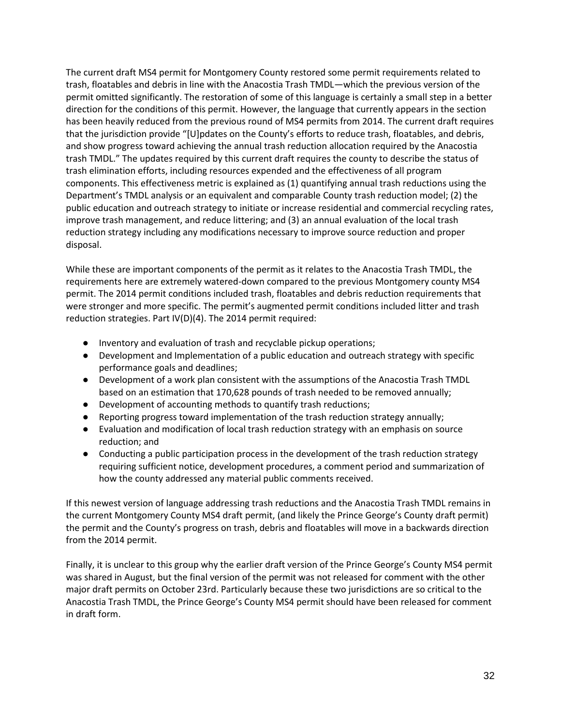The current draft MS4 permit for Montgomery County restored some permit requirements related to trash, floatables and debris in line with the Anacostia Trash TMDL—which the previous version of the permit omitted significantly. The restoration of some of this language is certainly a small step in a better direction for the conditions of this permit. However, the language that currently appears in the section has been heavily reduced from the previous round of MS4 permits from 2014. The current draft requires that the jurisdiction provide "[U]pdates on the County's efforts to reduce trash, floatables, and debris, and show progress toward achieving the annual trash reduction allocation required by the Anacostia trash TMDL." The updates required by this current draft requires the county to describe the status of trash elimination efforts, including resources expended and the effectiveness of all program components. This effectiveness metric is explained as (1) quantifying annual trash reductions using the Department's TMDL analysis or an equivalent and comparable County trash reduction model; (2) the public education and outreach strategy to initiate or increase residential and commercial recycling rates, improve trash management, and reduce littering; and (3) an annual evaluation of the local trash reduction strategy including any modifications necessary to improve source reduction and proper disposal.

While these are important components of the permit as it relates to the Anacostia Trash TMDL, the requirements here are extremely watered-down compared to the previous Montgomery county MS4 permit. The 2014 permit conditions included trash, floatables and debris reduction requirements that were stronger and more specific. The permit's augmented permit conditions included litter and trash reduction strategies. Part IV(D)(4). The 2014 permit required:

- Inventory and evaluation of trash and recyclable pickup operations;
- Development and Implementation of a public education and outreach strategy with specific performance goals and deadlines;
- Development of a work plan consistent with the assumptions of the Anacostia Trash TMDL based on an estimation that 170,628 pounds of trash needed to be removed annually;
- Development of accounting methods to quantify trash reductions;
- Reporting progress toward implementation of the trash reduction strategy annually;
- Evaluation and modification of local trash reduction strategy with an emphasis on source reduction; and
- Conducting a public participation process in the development of the trash reduction strategy requiring sufficient notice, development procedures, a comment period and summarization of how the county addressed any material public comments received.

If this newest version of language addressing trash reductions and the Anacostia Trash TMDL remains in the current Montgomery County MS4 draft permit, (and likely the Prince George's County draft permit) the permit and the County's progress on trash, debris and floatables will move in a backwards direction from the 2014 permit.

Finally, it is unclear to this group why the earlier draft version of the Prince George's County MS4 permit was shared in August, but the final version of the permit was not released for comment with the other major draft permits on October 23rd. Particularly because these two jurisdictions are so critical to the Anacostia Trash TMDL, the Prince George's County MS4 permit should have been released for comment in draft form.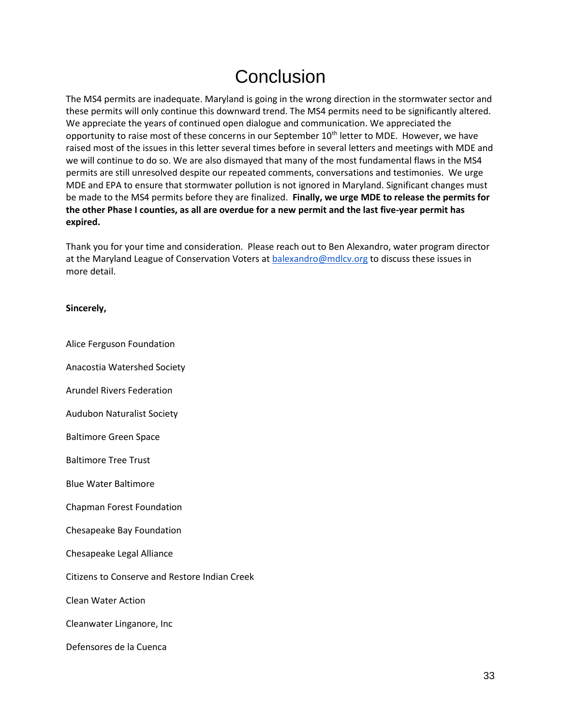# Conclusion

<span id="page-32-0"></span>The MS4 permits are inadequate. Maryland is going in the wrong direction in the stormwater sector and these permits will only continue this downward trend. The MS4 permits need to be significantly altered. We appreciate the years of continued open dialogue and communication. We appreciated the opportunity to raise most of these concerns in our September 10<sup>th</sup> letter to MDE. However, we have raised most of the issues in this letter several times before in several letters and meetings with MDE and we will continue to do so. We are also dismayed that many of the most fundamental flaws in the MS4 permits are still unresolved despite our repeated comments, conversations and testimonies. We urge MDE and EPA to ensure that stormwater pollution is not ignored in Maryland. Significant changes must be made to the MS4 permits before they are finalized. **Finally, we urge MDE to release the permits for the other Phase I counties, as all are overdue for a new permit and the last five-year permit has expired.** 

Thank you for your time and consideration. Please reach out to Ben Alexandro, water program director at the Maryland League of Conservation Voters at balexandro@mdlcv.org to discuss these issues in more detail.

#### **Sincerely,**

Alice Ferguson Foundation

Anacostia Watershed Society

Arundel Rivers Federation

Audubon Naturalist Society

Baltimore Green Space

Baltimore Tree Trust

Blue Water Baltimore

Chapman Forest Foundation

Chesapeake Bay Foundation

Chesapeake Legal Alliance

Citizens to Conserve and Restore Indian Creek

Clean Water Action

Cleanwater Linganore, Inc

Defensores de la Cuenca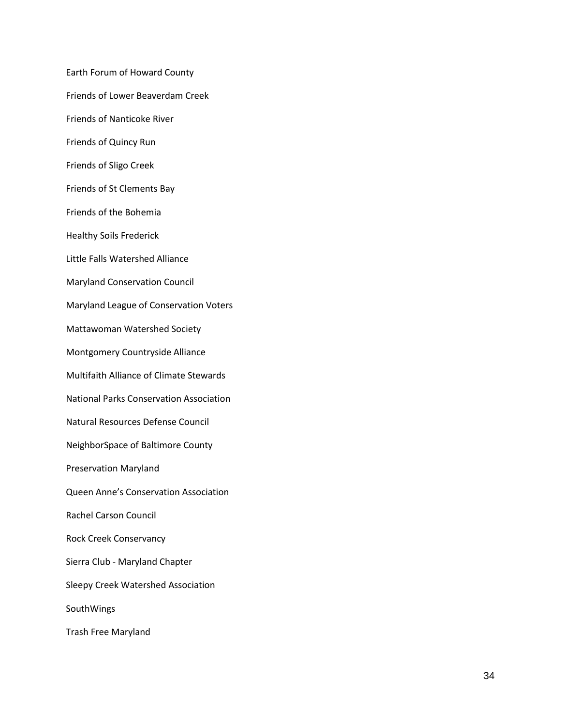Earth Forum of Howard County Friends of Lower Beaverdam Creek Friends of Nanticoke River Friends of Quincy Run Friends of Sligo Creek Friends of St Clements Bay Friends of the Bohemia Healthy Soils Frederick Little Falls Watershed Alliance Maryland Conservation Council Maryland League of Conservation Voters Mattawoman Watershed Society Montgomery Countryside Alliance Multifaith Alliance of Climate Stewards National Parks Conservation Association Natural Resources Defense Council NeighborSpace of Baltimore County Preservation Maryland Queen Anne's Conservation Association Rachel Carson Council Rock Creek Conservancy Sierra Club - Maryland Chapter Sleepy Creek Watershed Association SouthWings Trash Free Maryland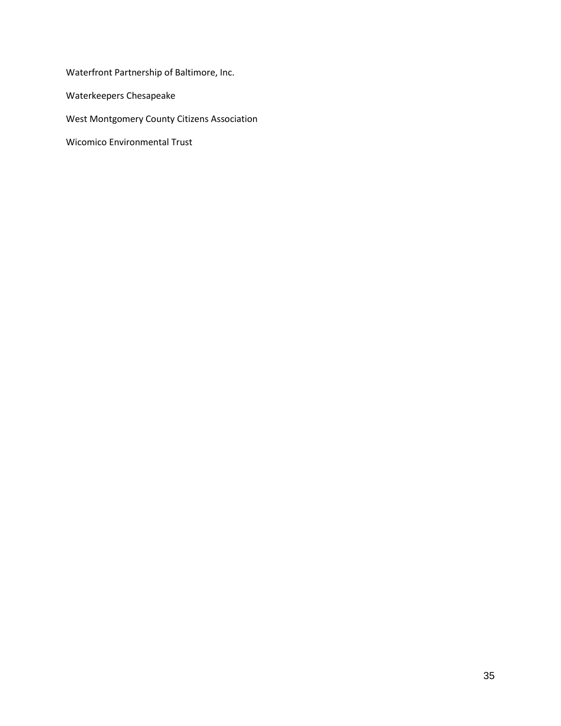Waterfront Partnership of Baltimore, Inc.

Waterkeepers Chesapeake

West Montgomery County Citizens Association

Wicomico Environmental Trust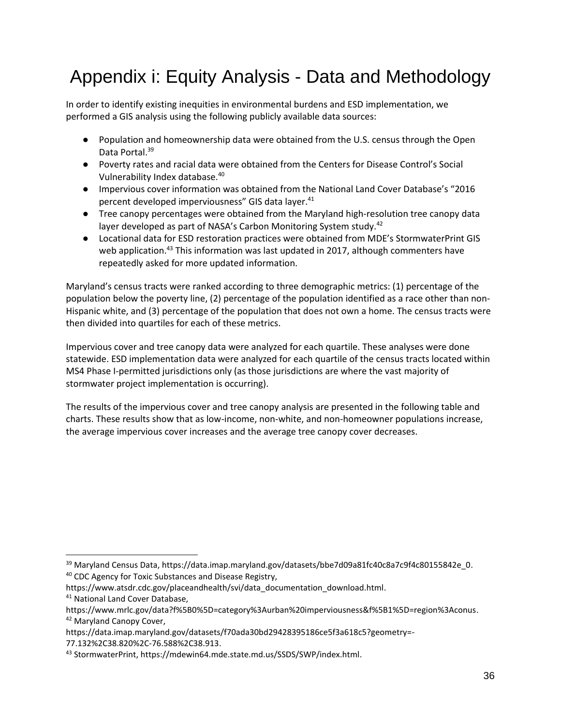# <span id="page-35-0"></span>Appendix i: Equity Analysis - Data and Methodology

In order to identify existing inequities in environmental burdens and ESD implementation, we performed a GIS analysis using the following publicly available data sources:

- Population and homeownership data were obtained from the U.S. census through the Open Data Portal.<sup>39</sup>
- Poverty rates and racial data were obtained from the Centers for Disease Control's Social Vulnerability Index database.<sup>40</sup>
- Impervious cover information was obtained from the National Land Cover Database's "2016 percent developed imperviousness" GIS data layer.<sup>41</sup>
- Tree canopy percentages were obtained from the Maryland high-resolution tree canopy data layer developed as part of NASA's Carbon Monitoring System study.<sup>42</sup>
- Locational data for ESD restoration practices were obtained from MDE's StormwaterPrint GIS web application.<sup>43</sup> This information was last updated in 2017, although commenters have repeatedly asked for more updated information.

Maryland's census tracts were ranked according to three demographic metrics: (1) percentage of the population below the poverty line, (2) percentage of the population identified as a race other than non-Hispanic white, and (3) percentage of the population that does not own a home. The census tracts were then divided into quartiles for each of these metrics.

Impervious cover and tree canopy data were analyzed for each quartile. These analyses were done statewide. ESD implementation data were analyzed for each quartile of the census tracts located within MS4 Phase I-permitted jurisdictions only (as those jurisdictions are where the vast majority of stormwater project implementation is occurring).

The results of the impervious cover and tree canopy analysis are presented in the following table and charts. These results show that as low-income, non-white, and non-homeowner populations increase, the average impervious cover increases and the average tree canopy cover decreases.

<sup>&</sup>lt;sup>39</sup> Maryland Census Data, https://data.imap.maryland.gov/datasets/bbe7d09a81fc40c8a7c9f4c80155842e\_0. <sup>40</sup> CDC Agency for Toxic Substances and Disease Registry,

https://www.atsdr.cdc.gov/placeandhealth/svi/data\_documentation\_download.html.

<sup>41</sup> National Land Cover Database,

https://www.mrlc.gov/data?f%5B0%5D=category%3Aurban%20imperviousness&f%5B1%5D=region%3Aconus. <sup>42</sup> Maryland Canopy Cover,

https://data.imap.maryland.gov/datasets/f70ada30bd29428395186ce5f3a618c5?geometry=-

<sup>77.132%2</sup>C38.820%2C-76.588%2C38.913.

<sup>43</sup> StormwaterPrint, https://mdewin64.mde.state.md.us/SSDS/SWP/index.html.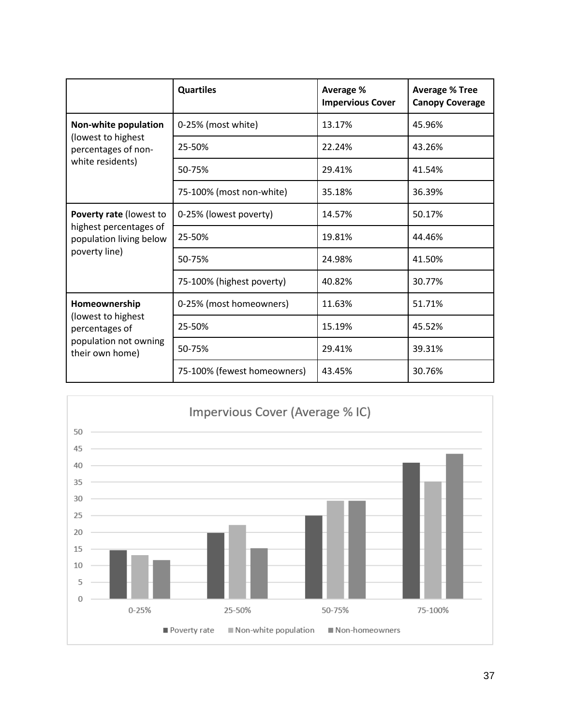|                                                                                                   | <b>Quartiles</b>            | Average %<br><b>Impervious Cover</b> | <b>Average % Tree</b><br><b>Canopy Coverage</b> |
|---------------------------------------------------------------------------------------------------|-----------------------------|--------------------------------------|-------------------------------------------------|
| Non-white population                                                                              | 0-25% (most white)          | 13.17%                               | 45.96%                                          |
| (lowest to highest<br>percentages of non-                                                         | 25-50%                      | 22.24%                               | 43.26%                                          |
| white residents)                                                                                  | 50-75%                      | 29.41%                               | 41.54%                                          |
|                                                                                                   | 75-100% (most non-white)    | 35.18%                               | 36.39%                                          |
| Poverty rate (lowest to<br>highest percentages of<br>population living below<br>poverty line)     | 0-25% (lowest poverty)      | 14.57%                               | 50.17%                                          |
|                                                                                                   | 25-50%                      | 19.81%                               | 44.46%                                          |
|                                                                                                   | 50-75%                      | 24.98%                               | 41.50%                                          |
|                                                                                                   | 75-100% (highest poverty)   | 40.82%                               | 30.77%                                          |
| Homeownership<br>(lowest to highest<br>percentages of<br>population not owning<br>their own home) | 0-25% (most homeowners)     | 11.63%                               | 51.71%                                          |
|                                                                                                   | 25-50%                      | 15.19%                               | 45.52%                                          |
|                                                                                                   | 50-75%                      | 29.41%                               | 39.31%                                          |
|                                                                                                   | 75-100% (fewest homeowners) | 43.45%                               | 30.76%                                          |

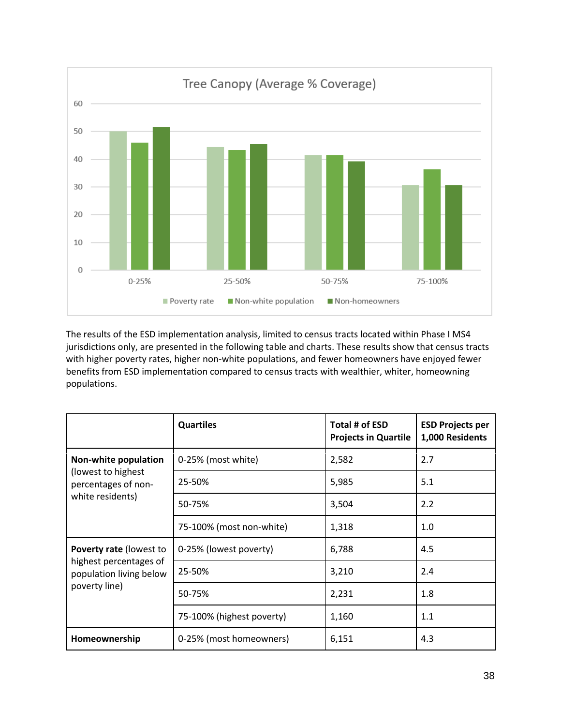

The results of the ESD implementation analysis, limited to census tracts located within Phase I MS4 jurisdictions only, are presented in the following table and charts. These results show that census tracts with higher poverty rates, higher non-white populations, and fewer homeowners have enjoyed fewer benefits from ESD implementation compared to census tracts with wealthier, whiter, homeowning populations.

|                                                                                                      | <b>Quartiles</b>          | Total # of ESD<br><b>Projects in Quartile</b> | <b>ESD Projects per</b><br>1,000 Residents |
|------------------------------------------------------------------------------------------------------|---------------------------|-----------------------------------------------|--------------------------------------------|
| Non-white population                                                                                 | 0-25% (most white)        | 2,582                                         | 2.7                                        |
| (lowest to highest<br>percentages of non-                                                            | 25-50%                    | 5,985                                         | 5.1                                        |
| white residents)                                                                                     | 50-75%                    | 3,504                                         | 2.2                                        |
|                                                                                                      | 75-100% (most non-white)  | 1,318                                         | 1.0                                        |
| <b>Poverty rate (lowest to</b><br>highest percentages of<br>population living below<br>poverty line) | 0-25% (lowest poverty)    | 6,788                                         | 4.5                                        |
|                                                                                                      | 25-50%                    | 3,210                                         | 2.4                                        |
|                                                                                                      | 50-75%                    | 2,231                                         | 1.8                                        |
|                                                                                                      | 75-100% (highest poverty) | 1,160                                         | 1.1                                        |
| Homeownership                                                                                        | 0-25% (most homeowners)   | 6,151                                         | 4.3                                        |